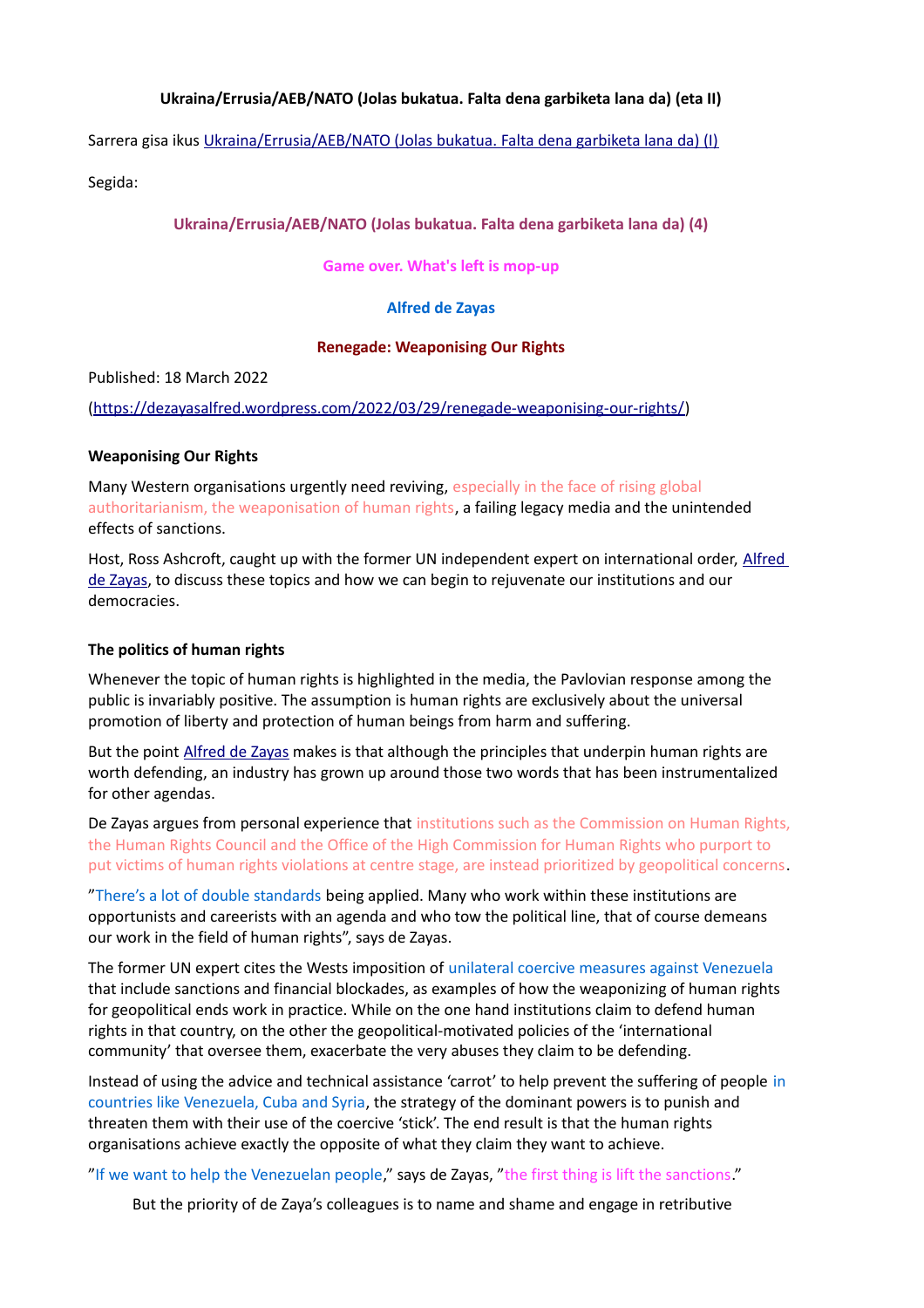# **Ukraina/Errusia/AEB/NATO (Jolas bukatua. Falta dena garbiketa lana da) (eta II)**

Sarrera gisa ikus [Ukraina/Errusia/AEB/NATO \(Jolas bukatua. Falta dena garbiketa lana da\) \(I\)](https://www.unibertsitatea.net/apunteak/gizarte-zientziak/ekonomia/ukraina-errusia-aeb-nato-jolas-bukatua-falta-dena)

Segida:

# **Ukraina/Errusia/AEB/NATO (Jolas bukatua. Falta dena garbiketa lana da) (4)**

**Game over. What's left is mop-up**

# **Alfred de Zayas**

### **Renegade: Weaponising Our Rights**

Published: 18 March 2022

[\(https://dezayasalfred.wordpress.com/2022/03/29/renegade-weaponising-our-rights/\)](https://dezayasalfred.wordpress.com/2022/03/29/renegade-weaponising-our-rights/)

# **Weaponising Our Rights**

Many Western organisations urgently need reviving, especially in the face of rising global authoritarianism, the weaponisation of human rights, a failing legacy media and the unintended effects of sanctions.

Host, Ross Ashcroft, caught up with the former UN independent expert on international order, Alfred [de Zayas,](https://www.ohchr.org/en/issues/intorder/pages/alfreddezayas.aspx) to discuss these topics and how we can begin to rejuvenate our institutions and our democracies.

# **The politics of human rights**

Whenever the topic of human rights is highlighted in the media, the Pavlovian response among the public is invariably positive. The assumption is human rights are exclusively about the universal promotion of liberty and protection of human beings from harm and suffering.

But the point [Alfred de Zayas](https://www.ohchr.org/en/issues/intorder/pages/alfreddezayas.aspx) makes is that although the principles that underpin human rights are worth defending, an industry has grown up around those two words that has been instrumentalized for other agendas.

De Zayas argues from personal experience that institutions such as the Commission on Human Rights, the Human Rights Council and the Office of the High Commission for Human Rights who purport to put victims of human rights violations at centre stage, are instead prioritized by geopolitical concerns.

"There's a lot of double standards being applied. Many who work within these institutions are opportunists and careerists with an agenda and who tow the political line, that of course demeans our work in the field of human rights", says de Zayas.

The former UN expert cites the Wests imposition of unilateral coercive measures against Venezuela that include sanctions and financial blockades, as examples of how the weaponizing of human rights for geopolitical ends work in practice. While on the one hand institutions claim to defend human rights in that country, on the other the geopolitical-motivated policies of the 'international community' that oversee them, exacerbate the very abuses they claim to be defending.

Instead of using the advice and technical assistance 'carrot' to help prevent the suffering of people in countries like Venezuela, Cuba and Syria, the strategy of the dominant powers is to punish and threaten them with their use of the coercive 'stick'. The end result is that the human rights organisations achieve exactly the opposite of what they claim they want to achieve.

"If we want to help the Venezuelan people," says de Zayas, "the first thing is lift the sanctions."

But the priority of de Zaya's colleagues is to name and shame and engage in retributive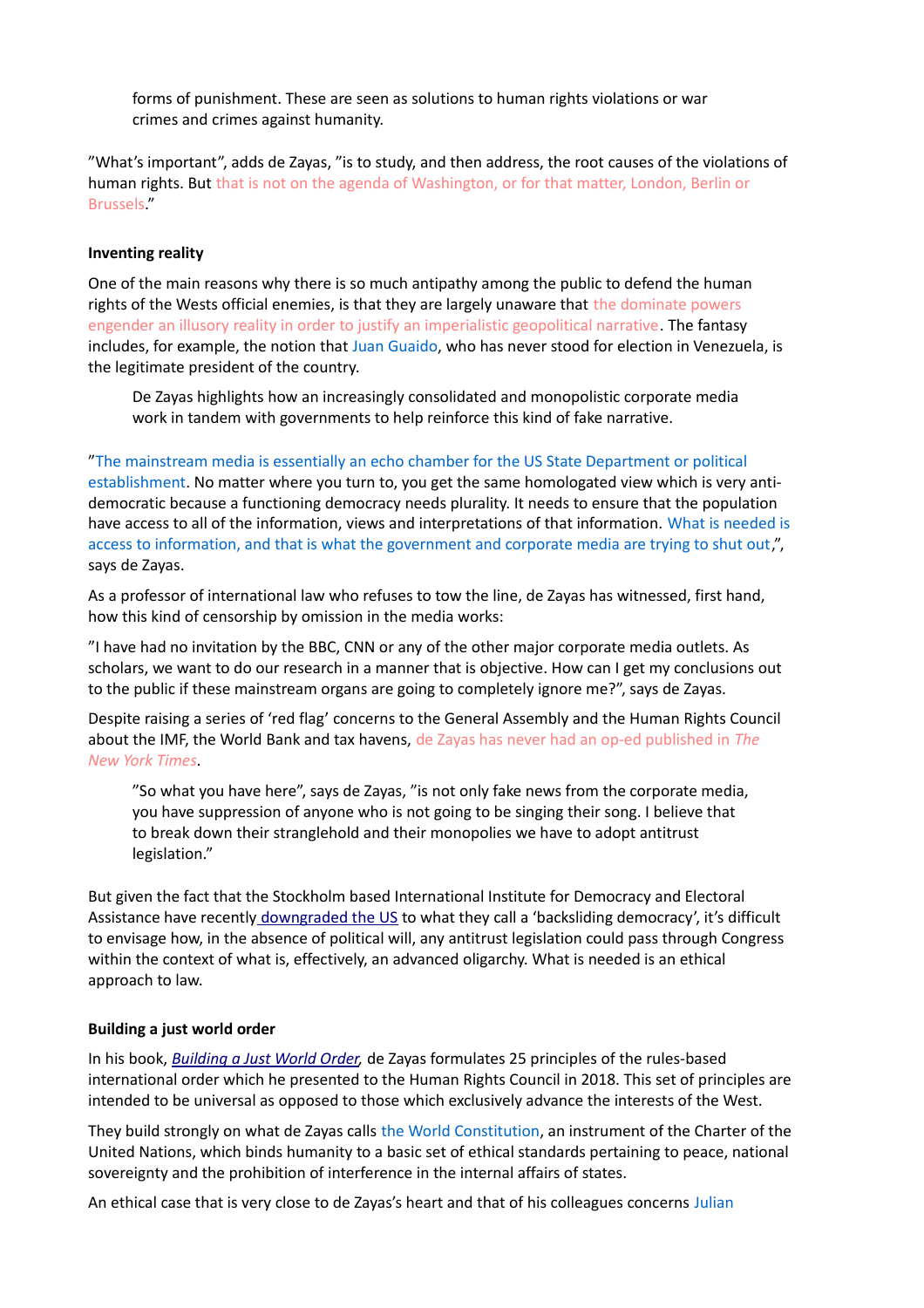forms of punishment. These are seen as solutions to human rights violations or war crimes and crimes against humanity.

"What's important", adds de Zayas, "is to study, and then address, the root causes of the violations of human rights. But that is not on the agenda of Washington, or for that matter, London, Berlin or Brussels."

# **Inventing reality**

One of the main reasons why there is so much antipathy among the public to defend the human rights of the Wests official enemies, is that they are largely unaware that the dominate powers engender an illusory reality in order to justify an imperialistic geopolitical narrative. The fantasy includes, for example, the notion that Juan Guaido, who has never stood for election in Venezuela, is the legitimate president of the country.

De Zayas highlights how an increasingly consolidated and monopolistic corporate media work in tandem with governments to help reinforce this kind of fake narrative.

"The mainstream media is essentially an echo chamber for the US State Department or political establishment. No matter where you turn to, you get the same homologated view which is very antidemocratic because a functioning democracy needs plurality. It needs to ensure that the population have access to all of the information, views and interpretations of that information. What is needed is access to information, and that is what the government and corporate media are trying to shut out,", says de Zayas.

As a professor of international law who refuses to tow the line, de Zayas has witnessed, first hand, how this kind of censorship by omission in the media works:

"I have had no invitation by the BBC, CNN or any of the other major corporate media outlets. As scholars, we want to do our research in a manner that is objective. How can I get my conclusions out to the public if these mainstream organs are going to completely ignore me?", says de Zayas.

Despite raising a series of 'red flag' concerns to the General Assembly and the Human Rights Council about the IMF, the World Bank and tax havens, de Zayas has never had an op-ed published in *The New York Times.*

"So what you have here", says de Zayas, "is not only fake news from the corporate media, you have suppression of anyone who is not going to be singing their song. I believe that to break down their stranglehold and their monopolies we have to adopt antitrust legislation."

But given the fact that the Stockholm based International Institute for Democracy and Electoral Assistance have recently [downgraded the US](https://www.washingtonpost.com/world/2021/11/22/united-states-backsliding-democracies-list-first-time/) to what they call a 'backsliding democracy', it's difficult to envisage how, in the absence of political will, any antitrust legislation could pass through Congress within the context of what is, effectively, an advanced oligarchy. What is needed is an ethical approach to law.

# **Building a just world order**

In his book, *[Building a Just World Order,](https://blackwells.co.uk/bookshop/product/Building-a-Just-World-Order-by-Alfred-De-Zayas/9781949762426)* de Zayas formulates 25 principles of the rules-based international order which he presented to the Human Rights Council in 2018. This set of principles are intended to be universal as opposed to those which exclusively advance the interests of the West.

They build strongly on what de Zayas calls the World Constitution, an instrument of the Charter of the United Nations, which binds humanity to a basic set of ethical standards pertaining to peace, national sovereignty and the prohibition of interference in the internal affairs of states.

An ethical case that is very close to de Zayas's heart and that of his colleagues concerns Julian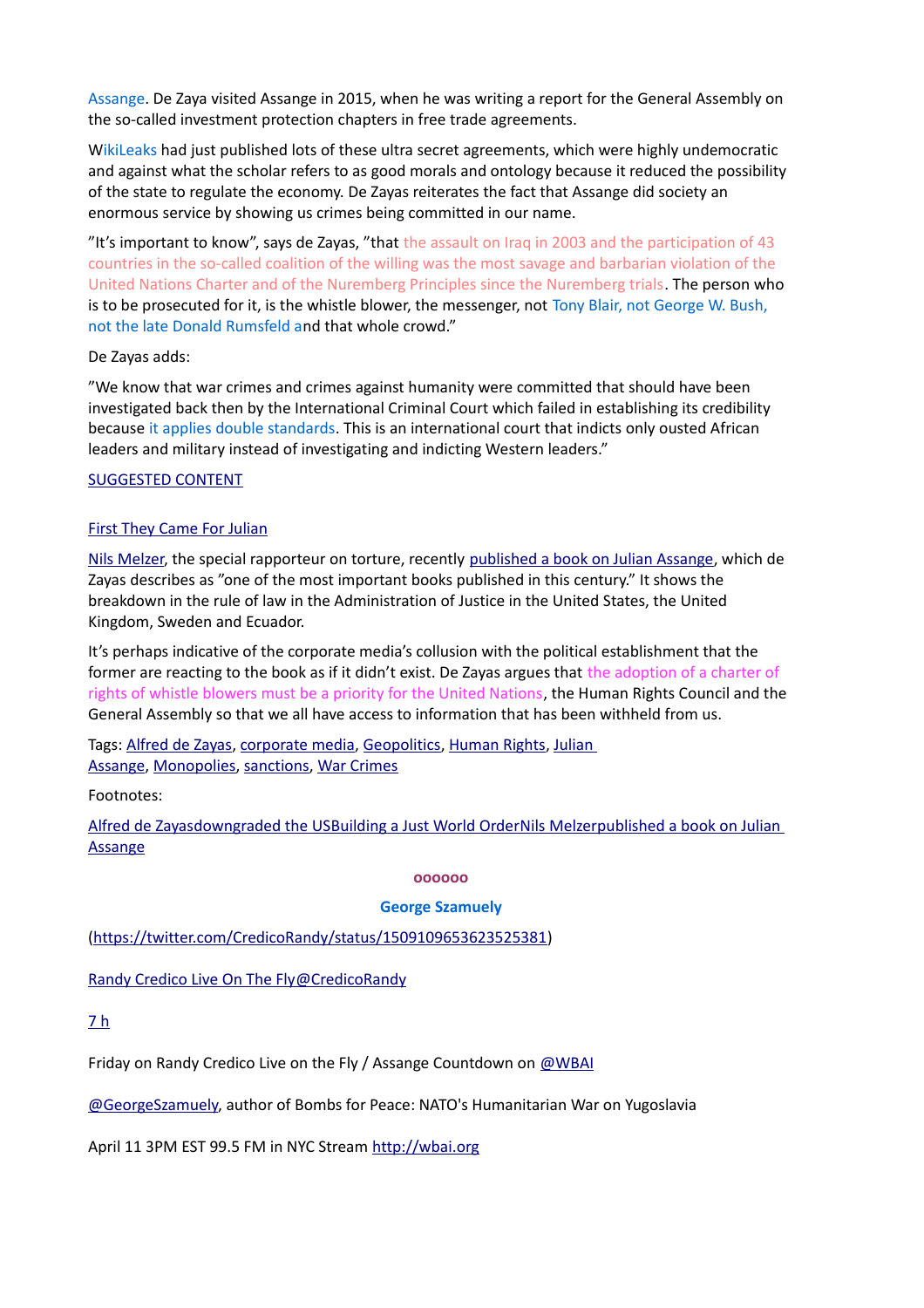Assange. De Zaya visited Assange in 2015, when he was writing a report for the General Assembly on the so-called investment protection chapters in free trade agreements.

WikiLeaks had just published lots of these ultra secret agreements, which were highly undemocratic and against what the scholar refers to as good morals and ontology because it reduced the possibility of the state to regulate the economy. De Zayas reiterates the fact that Assange did society an enormous service by showing us crimes being committed in our name.

"It's important to know", says de Zayas, "that the assault on Iraq in 2003 and the participation of 43 countries in the so-called coalition of the willing was the most savage and barbarian violation of the United Nations Charter and of the Nuremberg Principles since the Nuremberg trials. The person who is to be prosecuted for it, is the whistle blower, the messenger, not Tony Blair, not George W. Bush, not the late Donald Rumsfeld and that whole crowd."

# De Zayas adds:

"We know that war crimes and crimes against humanity were committed that should have been investigated back then by the International Criminal Court which failed in establishing its credibility because it applies double standards. This is an international court that indicts only ousted African leaders and military instead of investigating and indicting Western leaders."

# [SUGGESTED CONTENT](https://renegadeinc.com/first-they-came-for-julian/)

# [First They Came For Julian](https://renegadeinc.com/first-they-came-for-julian/)

[Nils Melzer,](https://www.ohchr.org/en/issues/torture/srtorture/pages/nilsmelzer.aspx) the special rapporteur on torture, recently [published a book on Julian Assange,](https://www.versobooks.com/books/3949-the-trial-of-julian-assange) which de Zayas describes as "one of the most important books published in this century." It shows the breakdown in the rule of law in the Administration of Justice in the United States, the United Kingdom, Sweden and Ecuador.

It's perhaps indicative of the corporate media's collusion with the political establishment that the former are reacting to the book as if it didn't exist. De Zayas argues that the adoption of a charter of rights of whistle blowers must be a priority for the United Nations, the Human Rights Council and the General Assembly so that we all have access to information that has been withheld from us.

Tags: [Alfred de Zayas,](https://renegadeinc.com/tag/alfred-de-zayas/) [corporate media,](https://renegadeinc.com/tag/corporate-media/) [Geopolitics,](https://renegadeinc.com/tag/geopolitics/) [Human Rights,](https://renegadeinc.com/tag/human-rights/) [Julian](https://renegadeinc.com/tag/julian-assange/)  [Assange,](https://renegadeinc.com/tag/julian-assange/) [Monopolies,](https://renegadeinc.com/tag/monopolies/) [sanctions,](https://renegadeinc.com/tag/sanctions/) [War Crimes](https://renegadeinc.com/tag/war-crimes/)

Footnotes:

Alfred de Zayas [downgraded the US](https://www.washingtonpost.com/world/2021/11/22/united-states-backsliding-democracies-list-first-time/)Building a Just World Order [Nils Melzer](https://www.ohchr.org/en/issues/torture/srtorture/pages/nilsmelzer.aspx)published a book on Julian [Assange](https://www.versobooks.com/books/3949-the-trial-of-julian-assange)

# **oooooo**

# **George Szamuely**

[\(https://twitter.com/CredicoRandy/status/1509109653623525381\)](https://twitter.com/CredicoRandy/status/1509109653623525381)

 [Randy Credico Live On The Fly@CredicoRandy](https://twitter.com/CredicoRandy)

[7 h](https://twitter.com/CredicoRandy/status/1509109653623525381)

Friday on Randy Credico Live on the Fly / Assange Countdown on [@WBAI](https://twitter.com/WBAI)

[@GeorgeSzamuely,](https://twitter.com/GeorgeSzamuely) author of Bombs for Peace: NATO's Humanitarian War on Yugoslavia

April 11 3PM EST 99.5 FM in NYC Stream [http://wbai.org](https://t.co/xhhRN5e5Ao)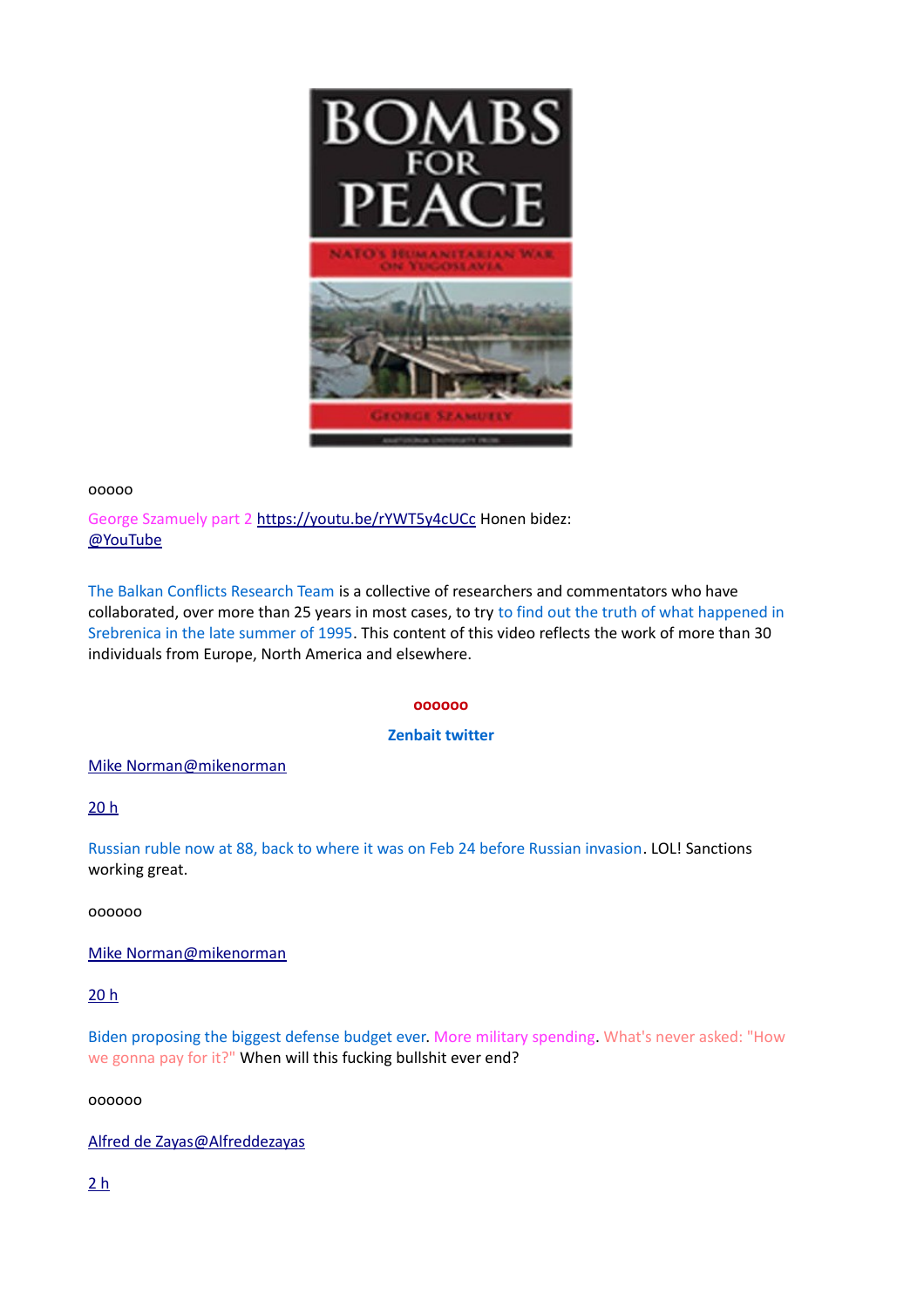

### ooooo

George Szamuely part 2 [https://youtu.be/rYWT5y4cUCc](https://t.co/NkqEoaasnH) Honen bidez: [@YouTube](https://twitter.com/YouTube)

The Balkan Conflicts Research Team is a collective of researchers and commentators who have collaborated, over more than 25 years in most cases, to try to find out the truth of what happened in Srebrenica in the late summer of 1995. This content of this video reflects the work of more than 30 individuals from Europe, North America and elsewhere.

### **oooooo**

# **Zenbait twitter**

 [Mike Norman@mikenorman](https://twitter.com/mikenorman)

[20 h](https://twitter.com/mikenorman/status/1508757081054236676)

Russian ruble now at 88, back to where it was on Feb 24 before Russian invasion. LOL! Sanctions working great.

oooooo

 [Mike Norman@mikenorman](https://twitter.com/mikenorman)

[20 h](https://twitter.com/mikenorman/status/1508758236517785602)

Biden proposing the biggest defense budget ever. More military spending. What's never asked: "How we gonna pay for it?" When will this fucking bullshit ever end?

oooooo

 [Alfred de Zayas@Alfreddezayas](https://twitter.com/Alfreddezayas)

[2 h](https://twitter.com/Alfreddezayas/status/1508830638220226568)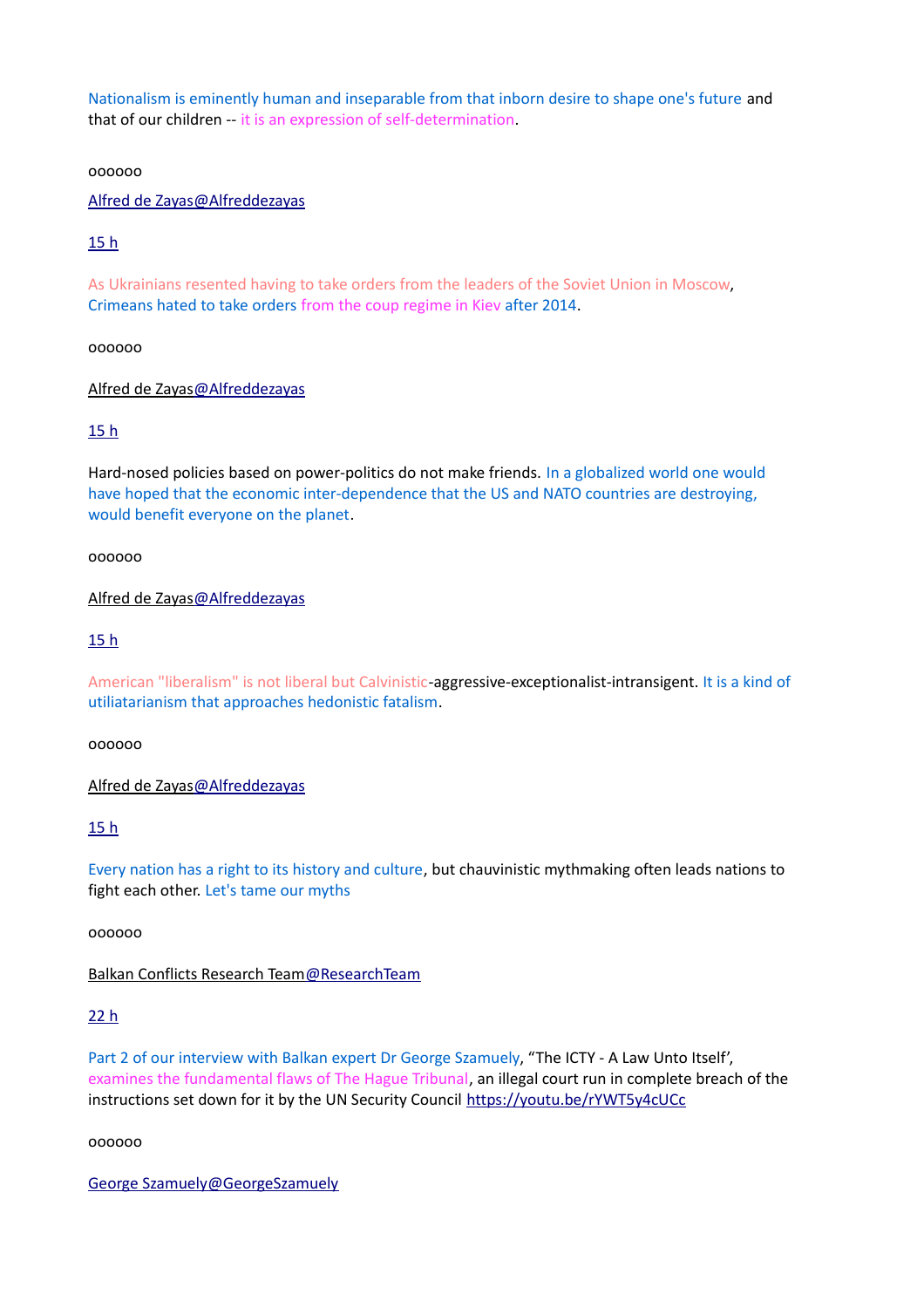Nationalism is eminently human and inseparable from that inborn desire to shape one's future and that of our children -- it is an expression of self-determination.

oooooo

 [Alfred de Zayas@Alfreddezayas](https://twitter.com/Alfreddezayas)

[15 h](https://twitter.com/Alfreddezayas/status/1508830698475601927)

As Ukrainians resented having to take orders from the leaders of the Soviet Union in Moscow, Crimeans hated to take orders from the coup regime in Kiev after 2014.

oooooo

 [Alfred de Zayas@Alfreddezayas](https://twitter.com/Alfreddezayas)

[15 h](https://twitter.com/Alfreddezayas/status/1508830726007017482)

Hard-nosed policies based on power-politics do not make friends. In a globalized world one would have hoped that the economic inter-dependence that the US and NATO countries are destroying, would benefit everyone on the planet.

oooooo

 [Alfred de Zayas@Alfreddezayas](https://twitter.com/Alfreddezayas)

[15 h](https://twitter.com/Alfreddezayas/status/1508830766922444804)

American "liberalism" is not liberal but Calvinistic-aggressive-exceptionalist-intransigent. It is a kind of utiliatarianism that approaches hedonistic fatalism.

oooooo

 [Alfred de Zayas@Alfreddezayas](https://twitter.com/Alfreddezayas)

[15 h](https://twitter.com/Alfreddezayas/status/1508830789873516544)

Every nation has a right to its history and culture, but chauvinistic mythmaking often leads nations to fight each other. Let's tame our myths

oooooo

 [Balkan Conflicts Research Team@ResearchTeam](https://twitter.com/ResearchTeam)

[22 h](https://twitter.com/ResearchTeam/status/1508735110757195776)

Part 2 of our interview with Balkan expert Dr George Szamuely, "The ICTY - A Law Unto Itself', examines the fundamental flaws of The Hague Tribunal, an illegal court run in complete breach of the instructions set down for it by the UN Security Council <https://youtu.be/rYWT5y4cUCc>

oooooo

 [George Szamuely@GeorgeSzamuely](https://twitter.com/GeorgeSzamuely)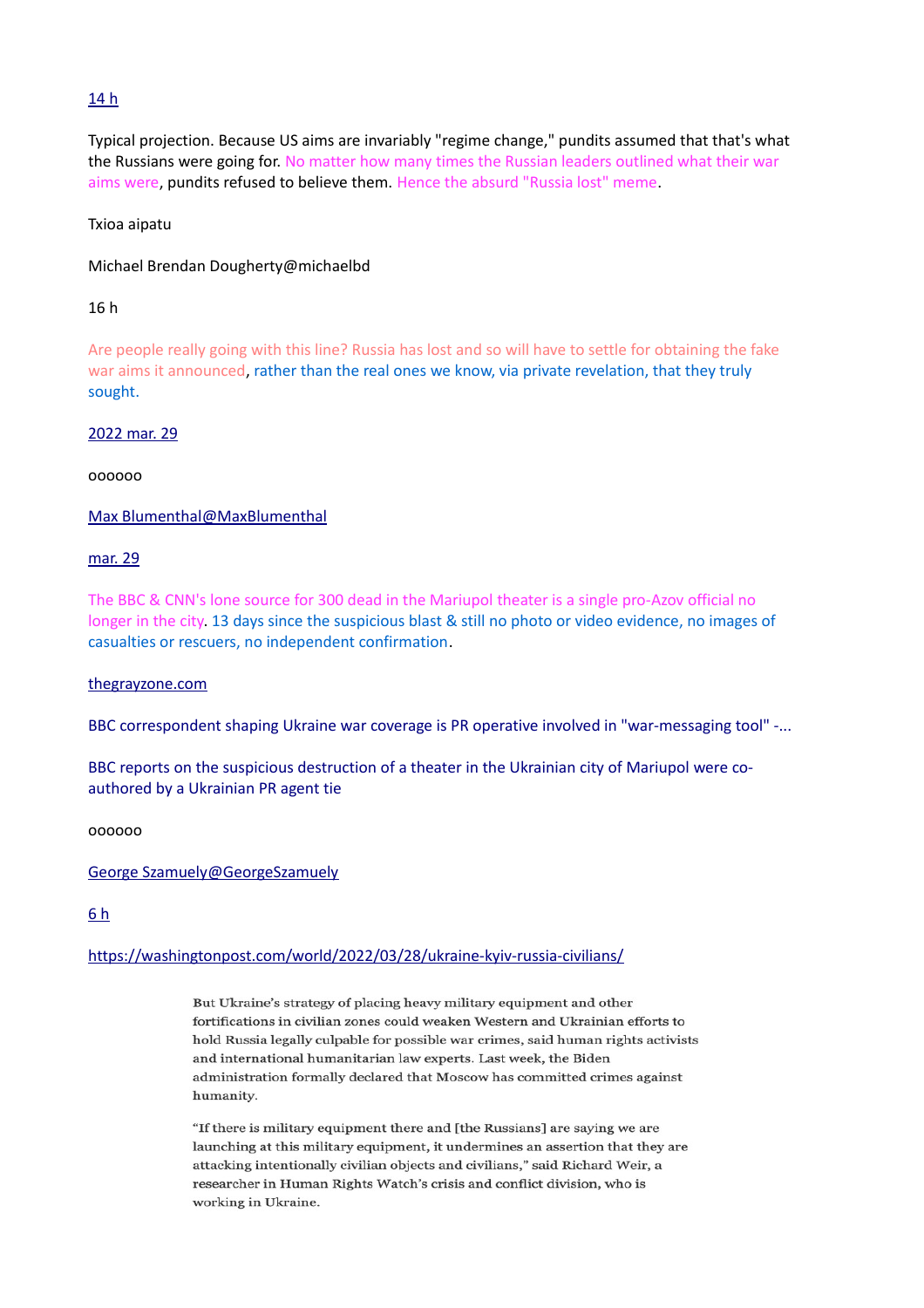# [14 h](https://twitter.com/GeorgeSzamuely/status/1508849632360779785)

Typical projection. Because US aims are invariably "regime change," pundits assumed that that's what the Russians were going for. No matter how many times the Russian leaders outlined what their war aims were, pundits refused to believe them. Hence the absurd "Russia lost" meme.

# Txioa aipatu

Michael Brendan Dougherty@michaelbd

# 16 h

Are people really going with this line? Russia has lost and so will have to settle for obtaining the fake war aims it announced, rather than the real ones we know, via private revelation, that they truly sought.

# [2022 mar. 29](https://twitter.com/MaxBlumenthal/status/1508833500497125379)

oooooo

 [Max Blumenthal@MaxBlumenthal](https://twitter.com/MaxBlumenthal)

# [mar. 29](https://twitter.com/MaxBlumenthal/status/1508833500497125379)

The BBC & CNN's lone source for 300 dead in the Mariupol theater is a single pro-Azov official no longer in the city. 13 days since the suspicious blast & still no photo or video evidence, no images of casualties or rescuers, no independent confirmation.

# [thegrayzone.com](https://t.co/3dnLkmMEuS)

[BBC correspondent shaping Ukraine war coverage is PR operative involved in "war-messaging tool" -...](https://t.co/3dnLkmMEuS)

[BBC reports on the suspicious destruction of a theater in the Ukrainian city of Mariupol were co](https://t.co/3dnLkmMEuS)[authored by a Ukrainian PR agent tie](https://t.co/3dnLkmMEuS)

oooooo

# [George Szamuely@GeorgeSzamuely](https://twitter.com/GeorgeSzamuely)

# [6 h](https://twitter.com/GeorgeSzamuely/status/1508976421498200064)

# [https://washingtonpost.com/world/2022/03/28/ukraine-kyiv-russia-civilians/](https://t.co/u1t9WMKzSa)

But Ukraine's strategy of placing heavy military equipment and other fortifications in civilian zones could weaken Western and Ukrainian efforts to hold Russia legally culpable for possible war crimes, said human rights activists and international humanitarian law experts. Last week, the Biden administration formally declared that Moscow has committed crimes against humanity.

"If there is military equipment there and [the Russians] are saying we are launching at this military equipment, it undermines an assertion that they are attacking intentionally civilian objects and civilians," said Richard Weir, a researcher in Human Rights Watch's crisis and conflict division, who is working in Ukraine.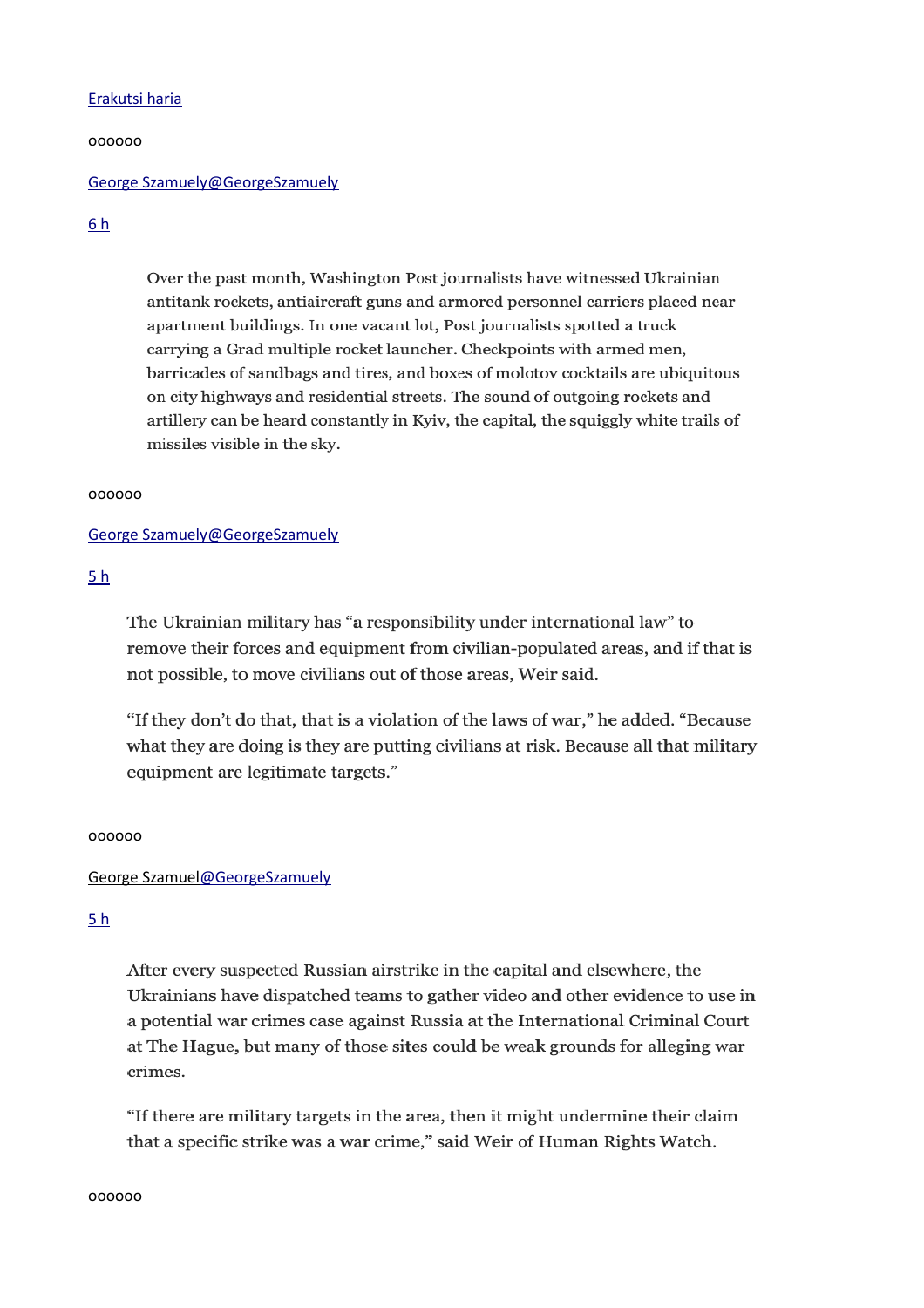### [Erakutsi haria](https://twitter.com/GeorgeSzamuely/status/1508976421498200064)

oooooo

### [George Szamuely@GeorgeSzamuely](https://twitter.com/GeorgeSzamuely)

# [6 h](https://twitter.com/GeorgeSzamuely/status/1508976724436000771)

Over the past month, Washington Post journalists have witnessed Ukrainian antitank rockets, antiaircraft guns and armored personnel carriers placed near apartment buildings. In one vacant lot, Post journalists spotted a truck carrying a Grad multiple rocket launcher. Checkpoints with armed men, barricades of sandbags and tires, and boxes of molotov cocktails are ubiquitous on city highways and residential streets. The sound of outgoing rockets and artillery can be heard constantly in Kyiv, the capital, the squiggly white trails of missiles visible in the sky.

#### oooooo

### [George Szamuely@GeorgeSzamuely](https://twitter.com/GeorgeSzamuely)

# [5 h](https://twitter.com/GeorgeSzamuely/status/1508989931141668865)

The Ukrainian military has "a responsibility under international law" to remove their forces and equipment from civilian-populated areas, and if that is not possible, to move civilians out of those areas, Weir said.

"If they don't do that, that is a violation of the laws of war," he added. "Because what they are doing is they are putting civilians at risk. Because all that military equipment are legitimate targets."

### oooooo

### [George Szamuel@GeorgeSzamuely](https://twitter.com/GeorgeSzamuely)

### [5 h](https://twitter.com/GeorgeSzamuely/status/1508991920776921090)

After every suspected Russian airstrike in the capital and elsewhere, the Ukrainians have dispatched teams to gather video and other evidence to use in a potential war crimes case against Russia at the International Criminal Court at The Hague, but many of those sites could be weak grounds for alleging war crimes.

"If there are military targets in the area, then it might undermine their claim that a specific strike was a war crime," said Weir of Human Rights Watch.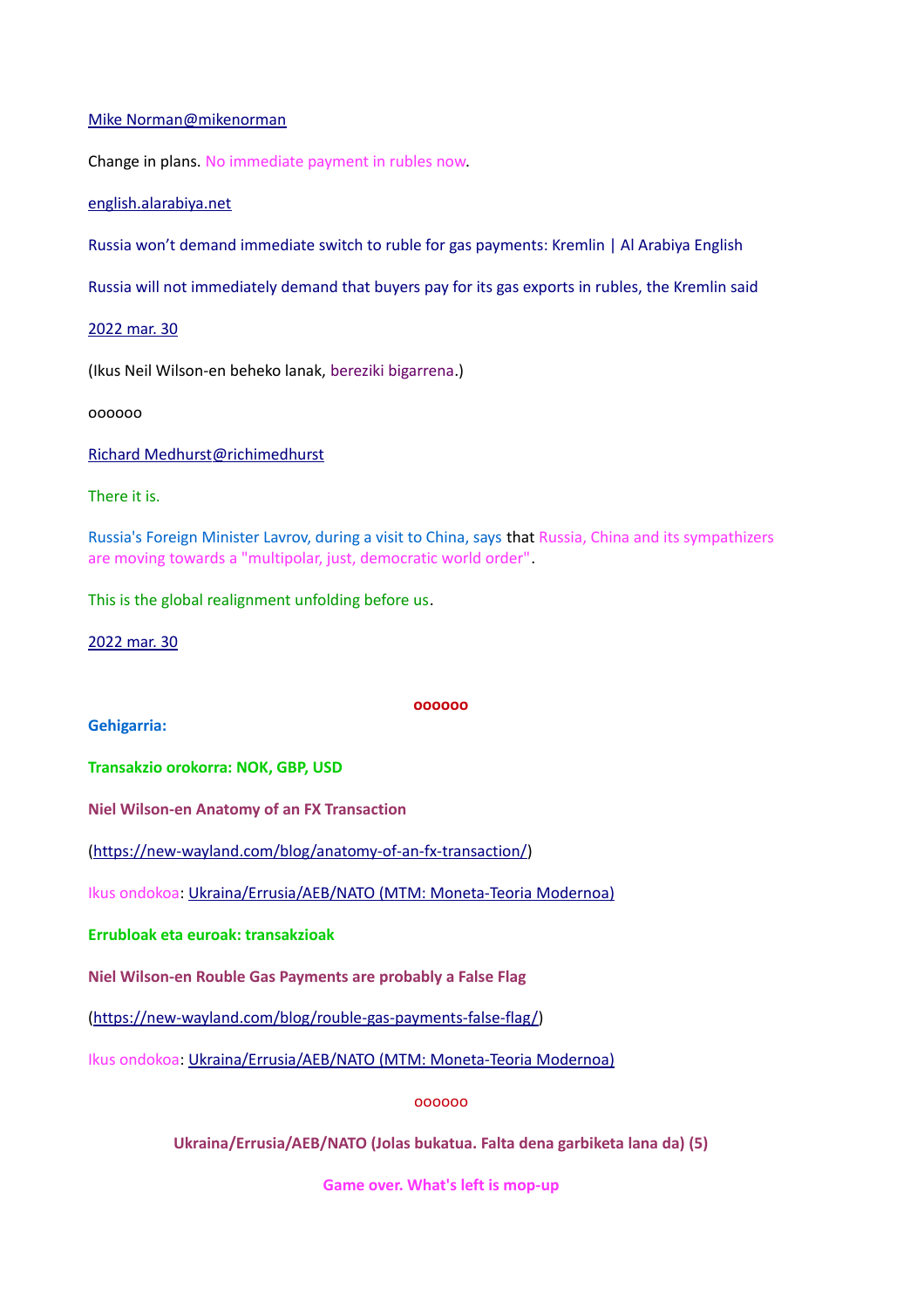### [Mike Norman@mikenorman](https://twitter.com/mikenorman)

Change in plans. No immediate payment in rubles now.

[english.alarabiya.net](https://t.co/k06kN3FeCF)

[Russia won't demand immediate switch to ruble for gas payments: Kremlin | Al Arabiya English](https://t.co/k06kN3FeCF)

[Russia will not immediately demand that buyers pay for its gas exports in rubles, the Kremlin said](https://t.co/k06kN3FeCF)

[2022 mar. 30](https://twitter.com/mikenorman/status/1509148116934664192)

(Ikus Neil Wilson-en beheko lanak, bereziki bigarrena.)

oooooo

 [Richard Medhurst@richimedhurst](https://twitter.com/richimedhurst)

There it is.

Russia's Foreign Minister Lavrov, during a visit to China, says that Russia, China and its sympathizers are moving towards a "multipolar, just, democratic world order".

This is the global realignment unfolding before us.

[2022 mar. 30](https://twitter.com/richimedhurst/status/1509231058553868290)

**Gehigarria:**

**oooooo**

**Transakzio orokorra: NOK, GBP, USD**

**Niel Wilson-en Anatomy of an FX Transaction**

[\(https://new-wayland.com/blog/anatomy-of-an-fx-transaction/\)](https://new-wayland.com/blog/anatomy-of-an-fx-transaction/)

Ikus ondokoa: [Ukraina/Errusia/AEB/NATO \(MTM: Moneta-Teoria Modernoa\)](https://www.unibertsitatea.net/blogak/heterodoxia/2022/03/30/ukraina-errusia-aeb-nato-mtm-moneta-teoria-modernoa/)

**Errubloak eta euroak: transakzioak**

**Niel Wilson-en Rouble Gas Payments are probably a False Flag**

[\(https://new-wayland.com/blog/rouble-gas-payments-false-flag/\)](https://new-wayland.com/blog/rouble-gas-payments-false-flag/)

Ikus ondokoa: [Ukraina/Errusia/AEB/NATO \(MTM: Moneta-Teoria Modernoa\)](https://www.unibertsitatea.net/blogak/heterodoxia/2022/03/30/ukraina-errusia-aeb-nato-mtm-moneta-teoria-modernoa/)

oooooo

**Ukraina/Errusia/AEB/NATO (Jolas bukatua. Falta dena garbiketa lana da) (5)**

**Game over. What's left is mop-up**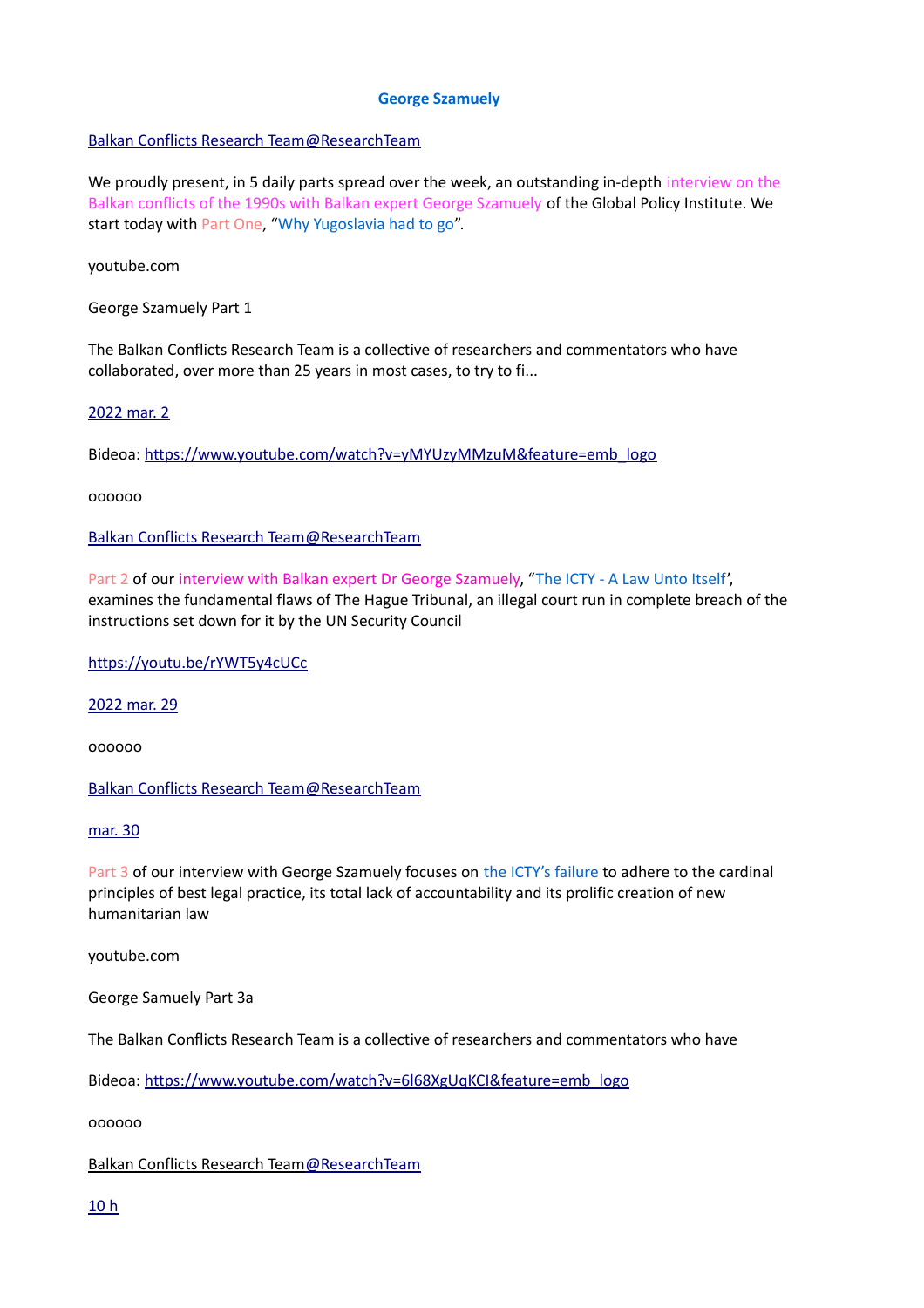### **George Szamuely**

# [Balkan Conflicts Research Team@ResearchTeam](https://twitter.com/ResearchTeam)

We proudly present, in 5 daily parts spread over the week, an outstanding in-depth interview on the Balkan conflicts of the 1990s with Balkan expert George Szamuely of the Global Policy Institute. We start today with Part One, "Why Yugoslavia had to go".

youtube.com

George Szamuely Part 1

The Balkan Conflicts Research Team is a collective of researchers and commentators who have collaborated, over more than 25 years in most cases, to try to fi...

# [2022 mar. 2](https://twitter.com/ResearchTeam/status/1508363883836231685)

Bideoa: [https://www.youtube.com/watch?v=yMYUzyMMzuM&feature=emb\\_logo](https://www.youtube.com/watch?v=yMYUzyMMzuM&feature=emb_logo)

oooooo

 [Balkan Conflicts Research Team@ResearchTeam](https://twitter.com/ResearchTeam)

Part 2 of our interview with Balkan expert Dr George Szamuely, "The ICTY - A Law Unto Itself', examines the fundamental flaws of The Hague Tribunal, an illegal court run in complete breach of the instructions set down for it by the UN Security Council

[https://youtu.be/rYWT5y4cUCc](https://t.co/MZ5osqqLDg)

[2022 mar. 29](https://twitter.com/ResearchTeam/status/1508735110757195776)

oooooo

 [Balkan Conflicts Research Team@ResearchTeam](https://twitter.com/ResearchTeam)

[mar. 30](https://twitter.com/ResearchTeam/status/1509120299765317633)

Part 3 of our interview with George Szamuely focuses on the ICTY's failure to adhere to the cardinal principles of best legal practice, its total lack of accountability and its prolific creation of new humanitarian law

youtube.com

George Samuely Part 3a

The Balkan Conflicts Research Team is a collective of researchers and commentators who have

Bideoa: [https://www.youtube.com/watch?v=6l68XgUqKCI&feature=emb\\_logo](https://www.youtube.com/watch?v=6l68XgUqKCI&feature=emb_logo)

oooooo

 [Balkan Conflicts Research Team@ResearchTeam](https://twitter.com/ResearchTeam)

[10 h](https://twitter.com/ResearchTeam/status/1509450175785455620)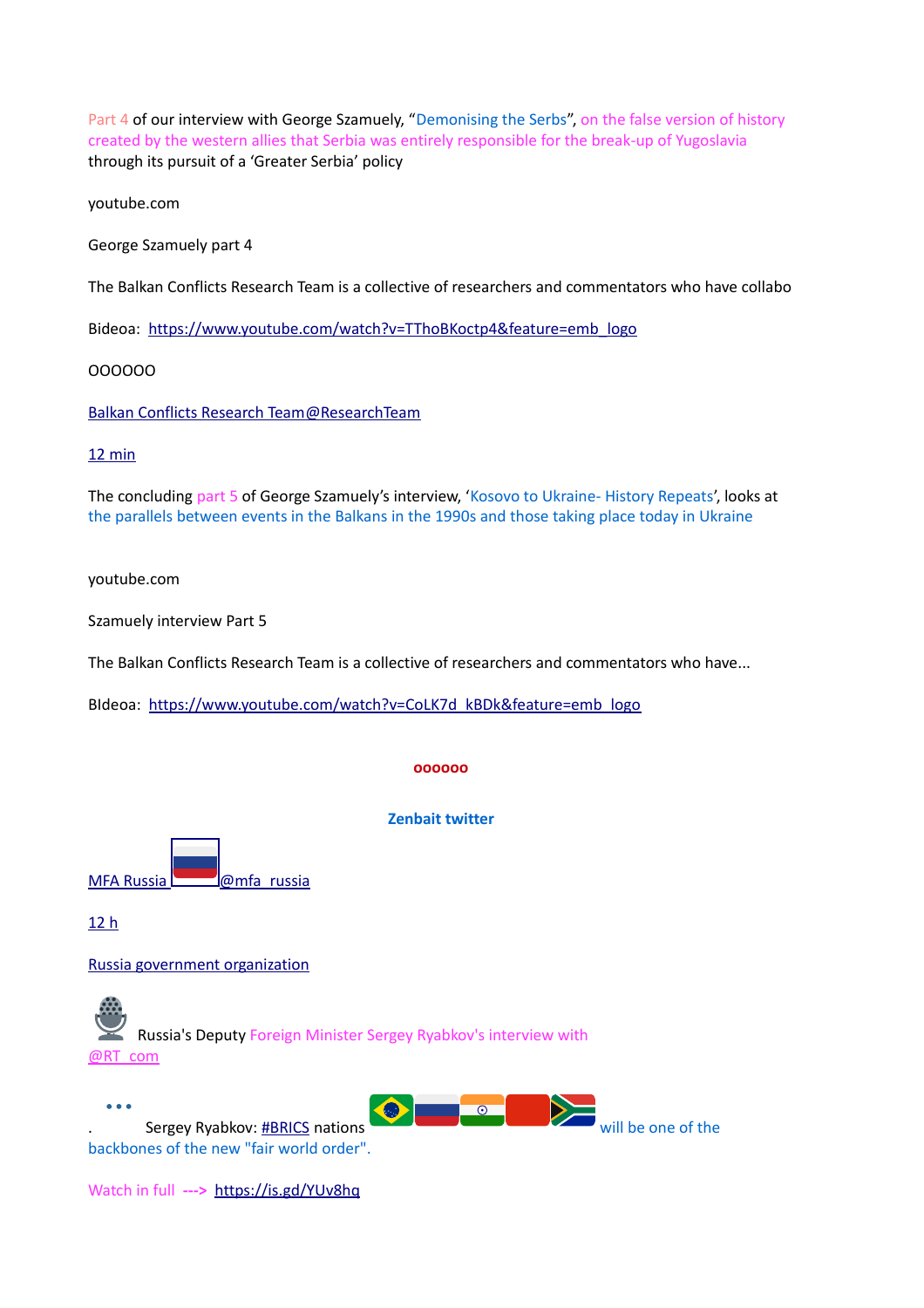Part 4 of our interview with George Szamuely, "Demonising the Serbs", on the false version of history created by the western allies that Serbia was entirely responsible for the break-up of Yugoslavia through its pursuit of a 'Greater Serbia' policy

youtube.com

George Szamuely part 4

The Balkan Conflicts Research Team is a collective of researchers and commentators who have collabo

Bideoa: [https://www.youtube.com/watch?v=TThoBKoctp4&feature=emb\\_logo](https://www.youtube.com/watch?v=TThoBKoctp4&feature=emb_logo)

OOOOOO

 [Balkan Conflicts Research Team@ResearchTeam](https://twitter.com/ResearchTeam)

### [12 min](https://twitter.com/ResearchTeam/status/1509804134001745923)

The concluding part 5 of George Szamuely's interview, 'Kosovo to Ukraine- History Repeats', looks at the parallels between events in the Balkans in the 1990s and those taking place today in Ukraine

youtube.com

Szamuely interview Part 5

The Balkan Conflicts Research Team is a collective of researchers and commentators who have...

BIdeoa: [https://www.youtube.com/watch?v=CoLK7d\\_kBDk&feature=emb\\_logo](https://www.youtube.com/watch?v=CoLK7d_kBDk&feature=emb_logo)

#### **oooooo**

#### **Zenbait twitter**

MFA Russia **@mfa\_russia** 

[12 h](https://twitter.com/mfa_russia/status/1509220159030013953)

[Russia government organization](https://help.twitter.com/rules-and-policies/state-affiliated)

Russia's Deputy Foreign Minister Sergey Ryabkov's interview with [@RT\\_com](https://twitter.com/RT_com)



Watch in full **--->** <https://is.gd/YUv8hq>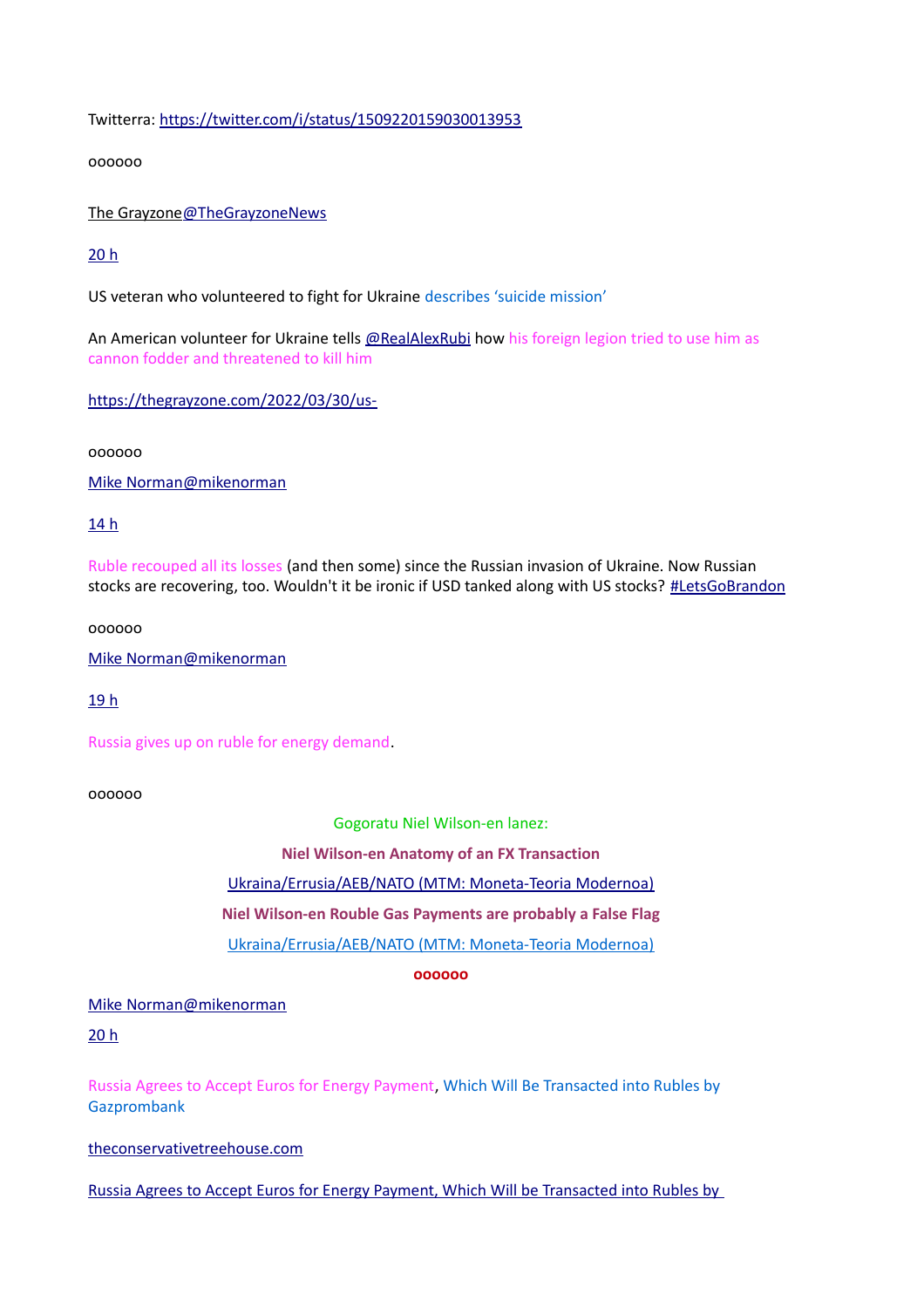Twitterra:<https://twitter.com/i/status/1509220159030013953>

oooooo

 [The Grayzone@TheGrayzoneNews](https://twitter.com/TheGrayzoneNews)

# [20 h](https://twitter.com/TheGrayzoneNews/status/1509296963824635910)

US veteran who volunteered to fight for Ukraine describes 'suicide mission'

An American volunteer for Ukraine tells [@RealAlexRubi](https://twitter.com/RealAlexRubi) how his foreign legion tried to use him as cannon fodder and threatened to kill him

[https://thegrayzone.com/2022/03/30/us-](https://t.co/yFdytVVkNY)

oooooo

 [Mike Norman@mikenorman](https://twitter.com/mikenorman)

# [14 h](https://twitter.com/mikenorman/status/1509580640672522247)

Ruble recouped all its losses (and then some) since the Russian invasion of Ukraine. Now Russian stocks are recovering, too. Wouldn't it be ironic if USD tanked along with US stocks? [#LetsGoBrandon](https://twitter.com/hashtag/LetsGoBrandon?src=hashtag_click)

oooooo

 [Mike Norman@mikenorman](https://twitter.com/mikenorman)

[19 h](https://twitter.com/mikenorman/status/1509512172832972805)

Russia gives up on ruble for energy demand.

oooooo

Gogoratu Niel Wilson-en lanez:

**Niel Wilson-en Anatomy of an FX Transaction**

[Ukraina/Errusia/AEB/NATO \(MTM: Moneta-Teoria Modernoa\)](https://www.unibertsitatea.net/blogak/heterodoxia/2022/03/30/ukraina-errusia-aeb-nato-mtm-moneta-teoria-modernoa/)

**Niel Wilson-en Rouble Gas Payments are probably a False Flag**

[Ukraina/Errusia/AEB/NATO \(MTM: Moneta-Teoria Modernoa\)](https://www.unibertsitatea.net/blogak/heterodoxia/2022/03/30/ukraina-errusia-aeb-nato-mtm-moneta-teoria-modernoa/)

**oooooo**

Mike [Norman@mikenorman](mailto:Norman@mikenorman)

[20 h](https://twitter.com/mikenorman/status/1509512086912749576)

Russia Agrees to Accept Euros for Energy Payment, Which Will Be Transacted into Rubles by **Gazprombank** 

[theconservativetreehouse.com](https://t.co/PBOrRC8mzk)

[Russia Agrees to Accept Euros for Energy Payment, Which Will be Transacted into Rubles by](https://t.co/PBOrRC8mzk)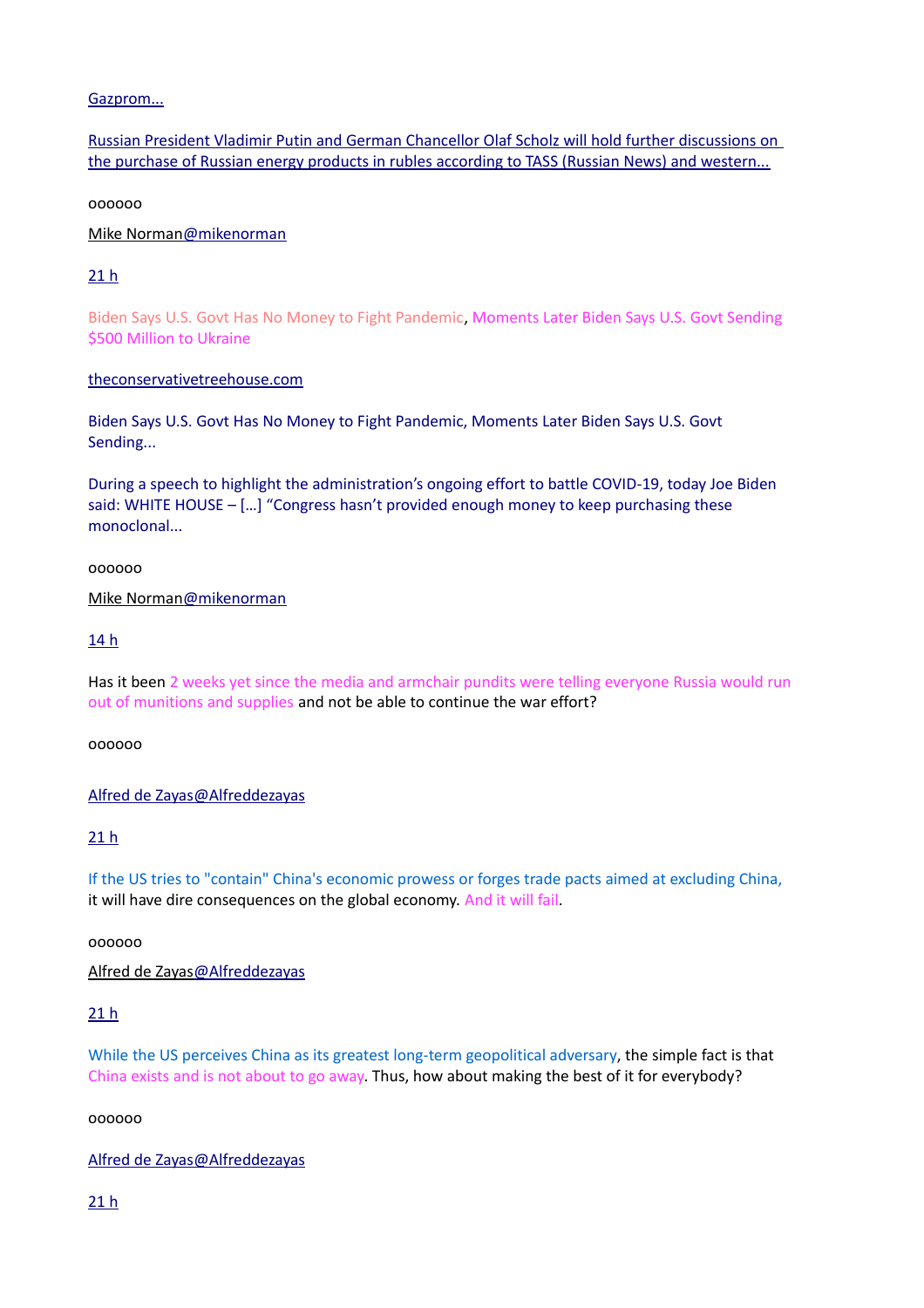# [Gazprom...](https://t.co/PBOrRC8mzk)

[Russian President Vladimir Putin and German Chancellor Olaf Scholz will hold further discussions on](https://t.co/PBOrRC8mzk)  [the purchase of Russian energy products in rubles according to TASS \(Russian News\) and western...](https://t.co/PBOrRC8mzk)

oooooo

# [Mike Norman@mikenorman](https://twitter.com/mikenorman)

# [21 h](https://twitter.com/mikenorman/status/1509484969290354691)

Biden Says U.S. Govt Has No Money to Fight Pandemic, Moments Later Biden Says U.S. Govt Sending \$500 Million to Ukraine

# [theconservativetreehouse.com](https://t.co/W3TIp6t6hc)

[Biden Says U.S. Govt Has No Money to Fight Pandemic, Moments Later Biden Says U.S. Govt](https://t.co/W3TIp6t6hc)  [Sending...](https://t.co/W3TIp6t6hc)

[During a speech to highlight the administration's ongoing effort to battle COVID-19, today Joe Biden](https://t.co/W3TIp6t6hc)  [said: WHITE HOUSE – \[…\] "Congress hasn't provided enough money to keep purchasing these](https://t.co/W3TIp6t6hc)  [monoclonal...](https://t.co/W3TIp6t6hc)

# oooooo

 [Mike Norman@mikenorman](https://twitter.com/mikenorman)

# [14 h](https://twitter.com/mikenorman/status/1509582965520666627)

Has it been 2 weeks yet since the media and armchair pundits were telling everyone Russia would run out of munitions and supplies and not be able to continue the war effort?

oooooo

 [Alfred de Zayas@Alfreddezayas](https://twitter.com/Alfreddezayas)

# [21 h](https://twitter.com/Alfreddezayas/status/1509476478131527685)

If the US tries to "contain" China's economic prowess or forges trade pacts aimed at excluding China, it will have dire consequences on the global economy. And it will fail.

oooooo

 [Alfred de Zayas@Alfreddezayas](https://twitter.com/Alfreddezayas)

# [21 h](https://twitter.com/Alfreddezayas/status/1509476511291789317)

While the US perceives China as its greatest long-term geopolitical adversary, the simple fact is that China exists and is not about to go away. Thus, how about making the best of it for everybody?

oooooo

 [Alfred de Zayas@Alfreddezayas](https://twitter.com/Alfreddezayas)

[21 h](https://twitter.com/Alfreddezayas/status/1509476528161271809)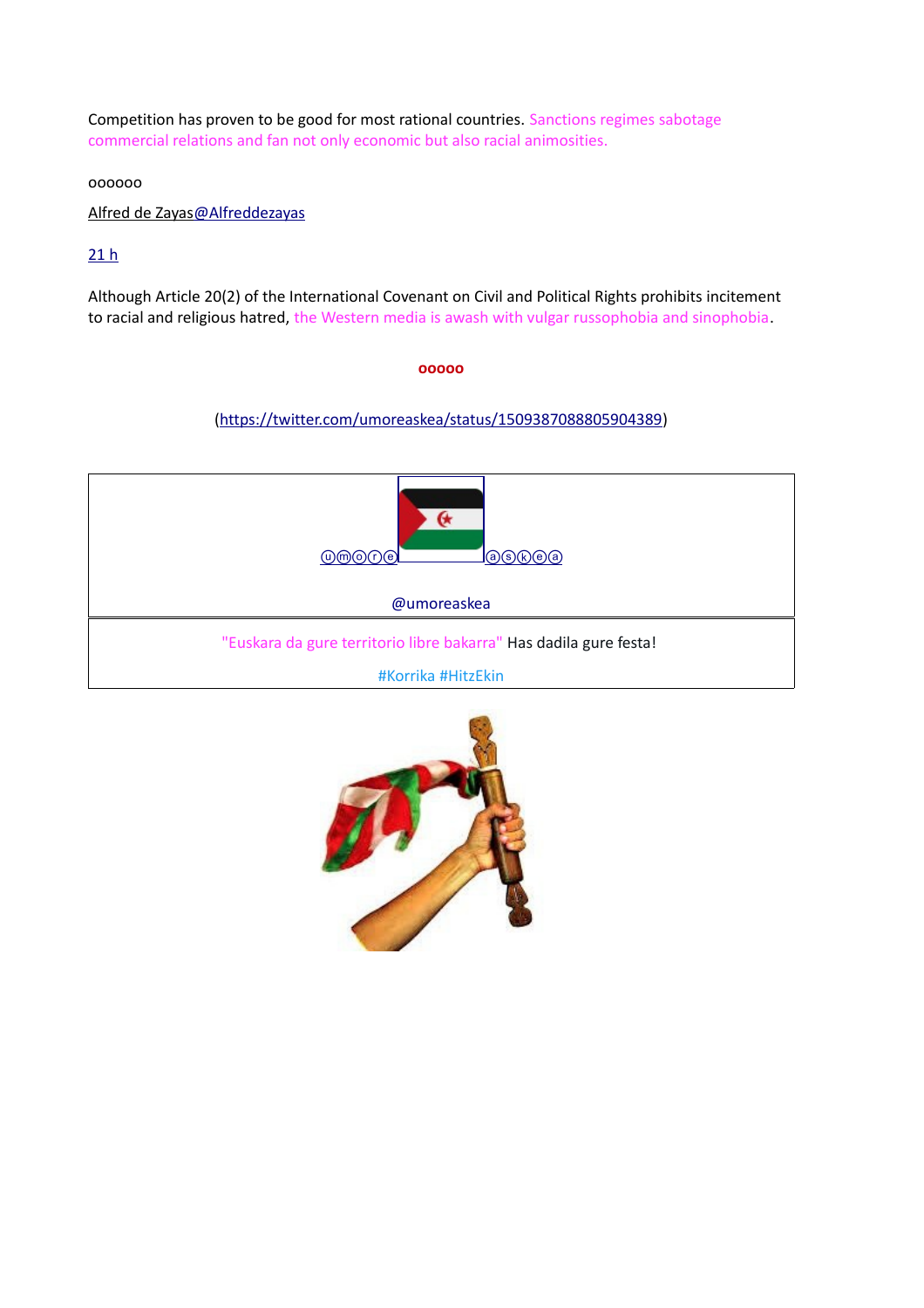Competition has proven to be good for most rational countries. Sanctions regimes sabotage commercial relations and fan not only economic but also racial animosities.

oooooo

 [Alfred de Zayas@Alfreddezayas](https://twitter.com/Alfreddezayas)

# $21 h$

Although Article 20(2) of the International Covenant on Civil and Political Rights prohibits incitement to racial and religious hatred, the Western media is awash with vulgar russophobia and sinophobia.

### **ooooo**

# [\(https://twitter.com/umoreaskea/status/1509387088805904389\)](https://twitter.com/umoreaskea/status/1509387088805904389)



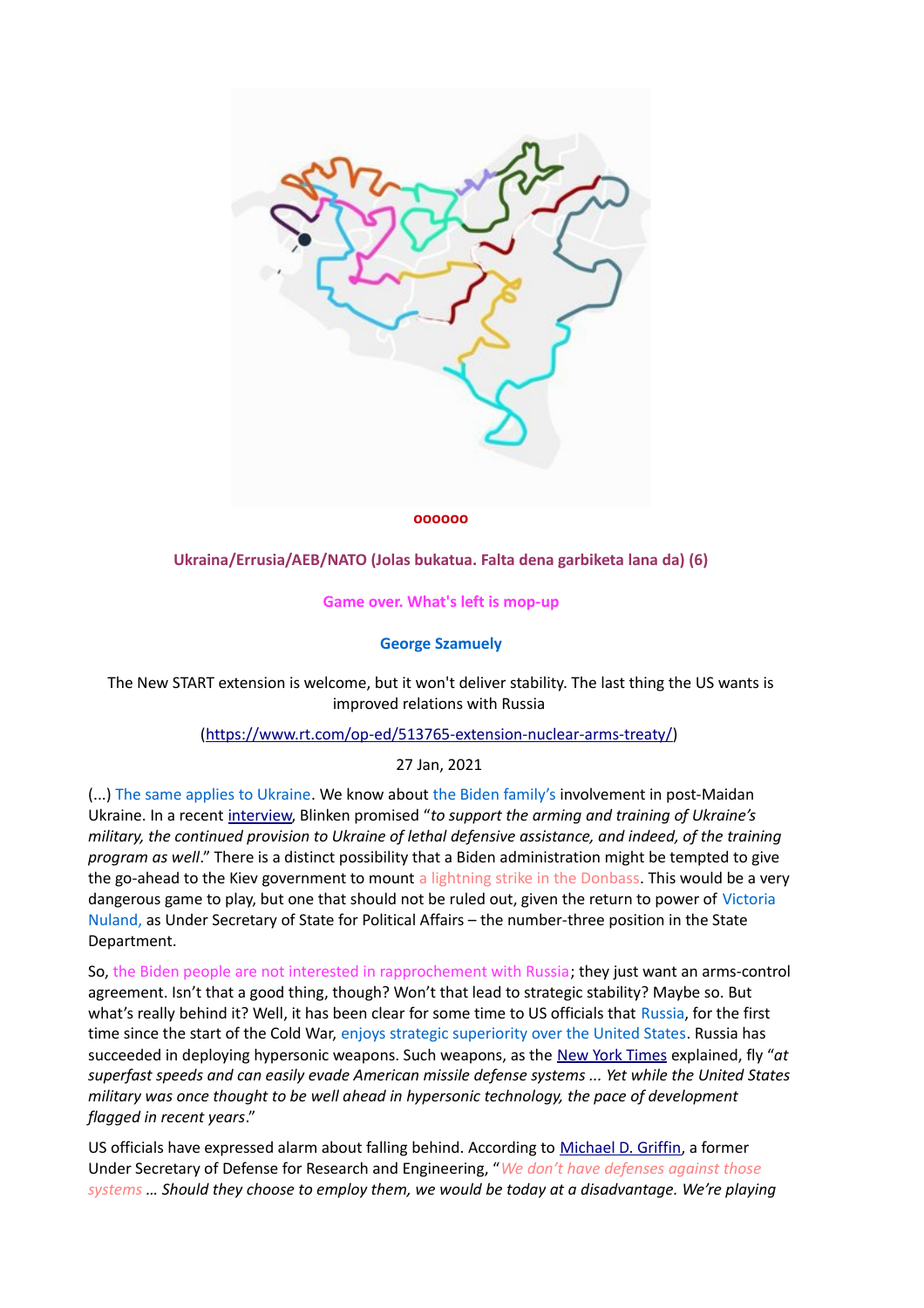

#### **oooooo**

### **Ukraina/Errusia/AEB/NATO (Jolas bukatua. Falta dena garbiketa lana da) (6)**

#### **Game over. What's left is mop-up**

### **George Szamuely**

The New START extension is welcome, but it won't deliver stability. The last thing the US wants is improved relations with Russia

### [\(https://www.rt.com/op-ed/513765-extension-nuclear-arms-treaty/\)](https://www.rt.com/op-ed/513765-extension-nuclear-arms-treaty/)

### 27 Jan, 2021

(...) The same applies to Ukraine. We know about the Biden family's involvement in post-Maidan Ukraine. In a recent [interview,](https://edition.cnn.com/2021/01/19/politics/blinken-confirmation-hearing/index.html) Blinken promised "*to support the arming and training of Ukraine's military, the continued provision to Ukraine of lethal defensive assistance, and indeed, of the training program as well*." There is a distinct possibility that a Biden administration might be tempted to give the go-ahead to the Kiev government to mount a lightning strike in the Donbass. This would be a very dangerous game to play, but one that should not be ruled out, given the return to power of Victoria Nuland, as Under Secretary of State for Political Affairs – the number-three position in the State Department.

So, the Biden people are not interested in rapprochement with Russia; they just want an arms-control agreement. Isn't that a good thing, though? Won't that lead to strategic stability? Maybe so. But what's really behind it? Well, it has been clear for some time to US officials that Russia, for the first time since the start of the Cold War, enjoys strategic superiority over the United States. Russia has succeeded in deploying hypersonic weapons. Such weapons, as the [New York Times](https://www.nytimes.com/2019/12/27/us/politics/russia-hypersonic-weapon.html) explained, fly "*at superfast speeds and can easily evade American missile defense systems ... Yet while the United States military was once thought to be well ahead in hypersonic technology, the pace of development flagged in recent years*."

US officials have expressed alarm about falling behind. According to [Michael D. Griffin,](https://nationalinterest.org/blog/reboot/has-russia-surpassed-america-developing-hypersonic-missiles-172120) a former Under Secretary of Defense for Research and Engineering, "*We don't have defenses against those systems … Should they choose to employ them, we would be today at a disadvantage. We're playing*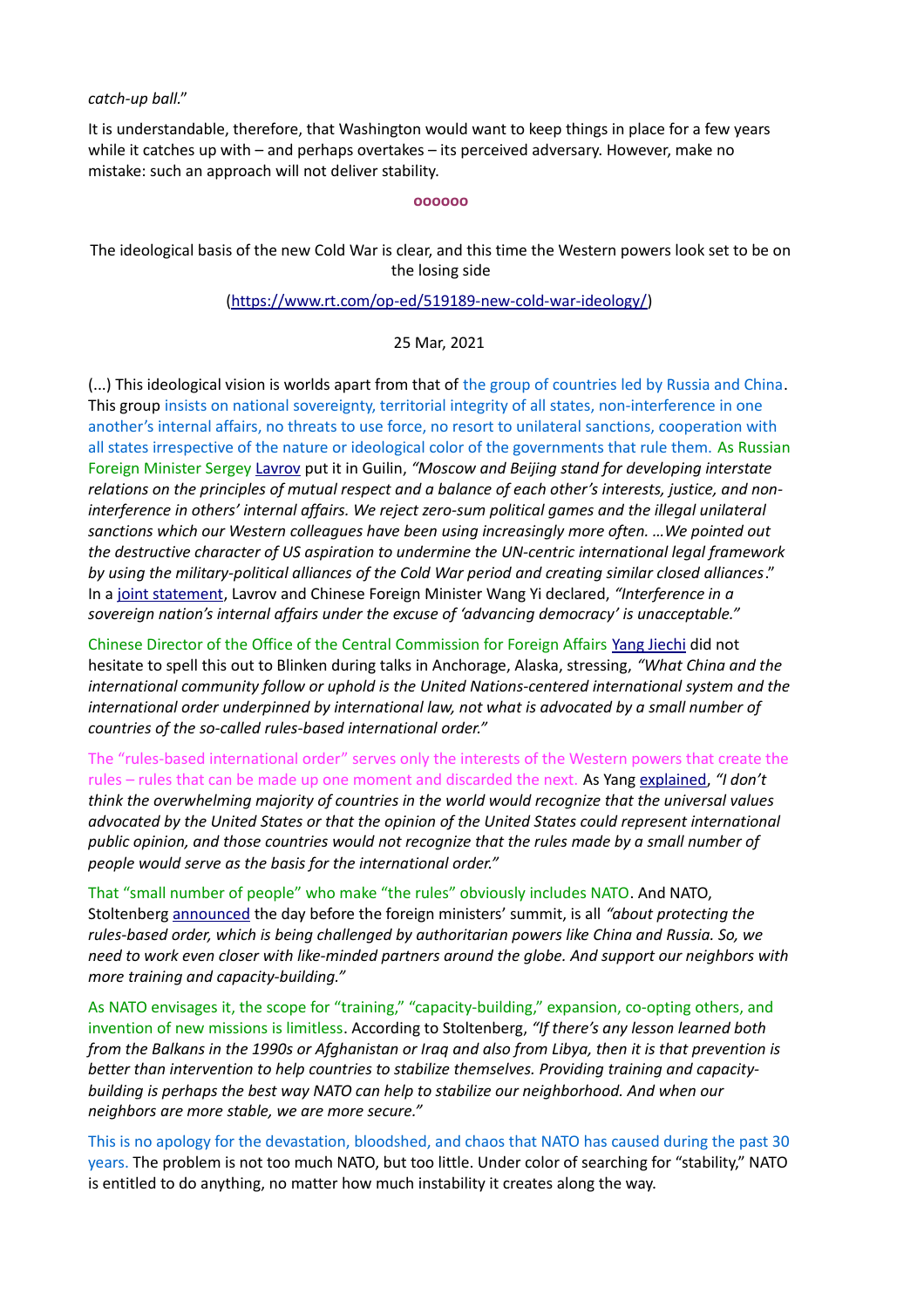### *catch-up ball.*"

It is understandable, therefore, that Washington would want to keep things in place for a few years while it catches up with – and perhaps overtakes – its perceived adversary. However, make no mistake: such an approach will not deliver stability.

#### **oooooo**

The ideological basis of the new Cold War is clear, and this time the Western powers look set to be on the losing side

### [\(https://www.rt.com/op-ed/519189-new-cold-war-ideology/\)](https://www.rt.com/op-ed/519189-new-cold-war-ideology/)

### 25 Mar, 2021

(...) This ideological vision is worlds apart from that of the group of countries led by Russia and China. This group insists on national sovereignty, territorial integrity of all states, non-interference in one another's internal affairs, no threats to use force, no resort to unilateral sanctions, cooperation with all states irrespective of the nature or ideological color of the governments that rule them. As Russian Foreign Minister Sergey [Lavrov](https://www.mid.ru/en/foreign_policy/news/-/asset_publisher/cKNonkJE02Bw/content/id/4647898) put it in Guilin, *"Moscow and Beijing stand for developing interstate relations on the principles of mutual respect and a balance of each other's interests, justice, and non*interference in others' internal affairs. We reject zero-sum political games and the illegal unilateral *sanctions which our Western colleagues have been using increasingly more often. …We pointed out the destructive character of US aspiration to undermine the UN-centric international legal framework by using the military-political alliances of the Cold War period and creating similar closed alliances*." In a [joint statement,](https://www.aljazeera.com/news/2021/3/23/china-and-russia-push-for-un-summit-amid-political-turbulence) Lavrov and Chinese Foreign Minister Wang Yi declared, *"Interference in a sovereign nation's internal affairs under the excuse of 'advancing democracy' is unacceptable."*

Chinese Director of the Office of the Central Commission for Foreign Affairs [Yang Jiechi](https://asia.nikkei.com/Politics/International-relations/US-China-tensions/How-it-happened-Transcript-of-the-US-China-opening-remarks-in-Alaska) did not hesitate to spell this out to Blinken during talks in Anchorage, Alaska, stressing, *"What China and the international community follow or uphold is the United Nations-centered international system and the international order underpinned by international law, not what is advocated by a small number of countries of the so-called rules-based international order."*

The "rules-based international order" serves only the interests of the Western powers that create the rules – rules that can be made up one moment and discarded the next. As Yang [explained,](https://asia.nikkei.com/Politics/International-relations/US-China-tensions/How-it-happened-Transcript-of-the-US-China-opening-remarks-in-Alaska) *"I don't think the overwhelming majority of countries in the world would recognize that the universal values advocated by the United States or that the opinion of the United States could represent international public opinion, and those countries would not recognize that the rules made by a small number of people would serve as the basis for the international order."*

That "small number of people" who make "the rules" obviously includes NATO. And NATO, Stoltenberg [announced](https://www.nato.int/cps/en/natohq/opinions_182503.htm) the day before the foreign ministers' summit, is all *"about protecting the rules-based order, which is being challenged by authoritarian powers like China and Russia. So, we need to work even closer with like-minded partners around the globe. And support our neighbors with more training and capacity-building."*

As NATO envisages it, the scope for "training," "capacity-building," expansion, co-opting others, and invention of new missions is limitless. According to Stoltenberg, *"If there's any lesson learned both from the Balkans in the 1990s or Afghanistan or Iraq and also from Libya, then it is that prevention is better than intervention to help countries to stabilize themselves. Providing training and capacitybuilding is perhaps the best way NATO can help to stabilize our neighborhood. And when our neighbors are more stable, we are more secure."*

This is no apology for the devastation, bloodshed, and chaos that NATO has caused during the past 30 years. The problem is not too much NATO, but too little. Under color of searching for "stability," NATO is entitled to do anything, no matter how much instability it creates along the way.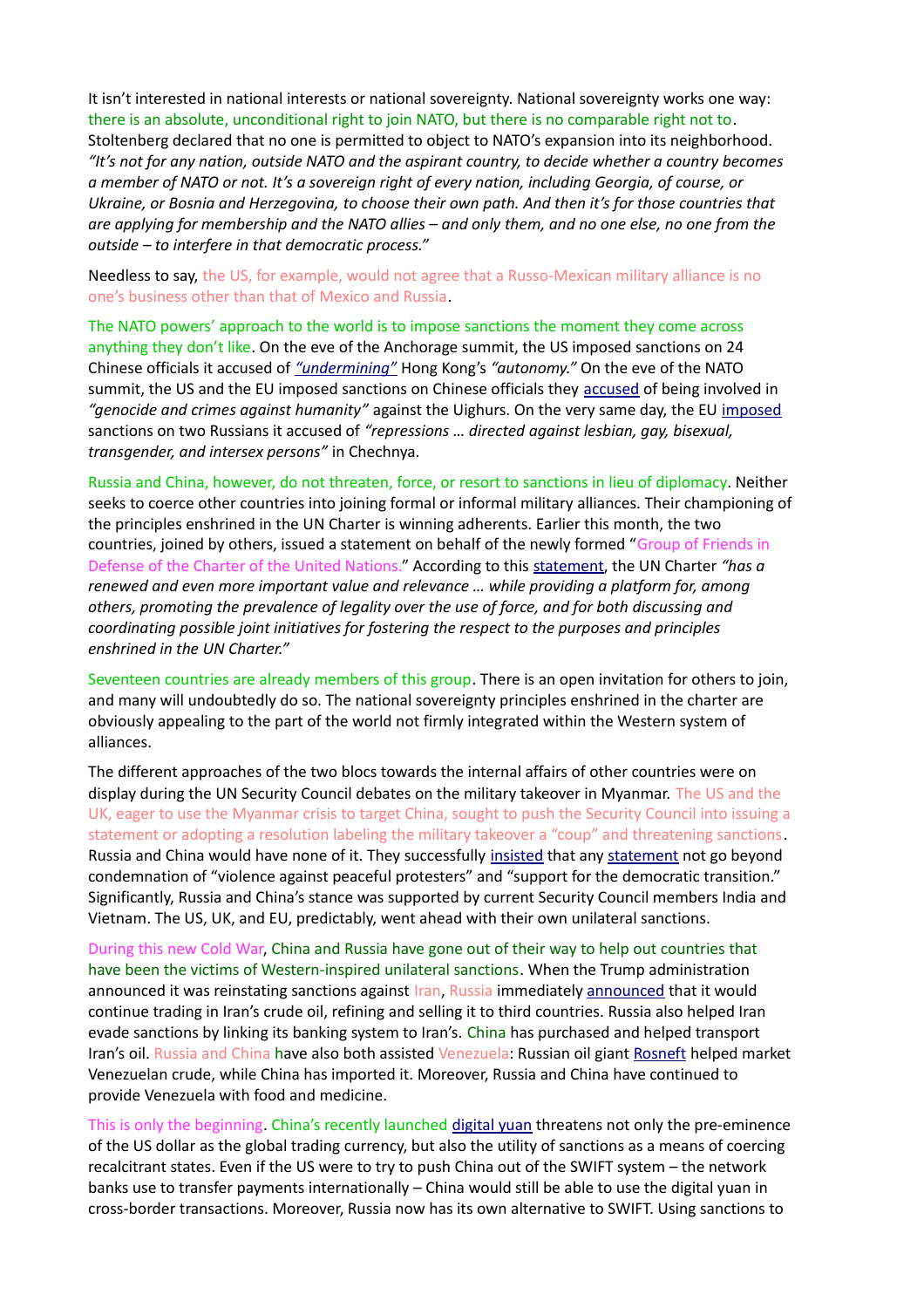It isn't interested in national interests or national sovereignty. National sovereignty works one way: there is an absolute, unconditional right to join NATO, but there is no comparable right not to. Stoltenberg declared that no one is permitted to object to NATO's expansion into its neighborhood. *"It's not for any nation, outside NATO and the aspirant country, to decide whether a country becomes a member of NATO or not. It's a sovereign right of every nation, including Georgia, of course, or Ukraine, or Bosnia and Herzegovina, to choose their own path. And then it's for those countries that are applying for membership and the NATO allies – and only them, and no one else, no one from the outside – to interfere in that democratic process."*

Needless to say, the US, for example, would not agree that a Russo-Mexican military alliance is no one's business other than that of Mexico and Russia.

The NATO powers' approach to the world is to impose sanctions the moment they come across anything they don't like. On the eve of the Anchorage summit, the US imposed sanctions on 24 Chinese officials it accused of *["undermining"](https://www.nytimes.com/2021/03/17/world/asia/us-china-biden.html)* Hong Kong's *"autonomy."* On the eve of the NATO summit, the US and the EU imposed sanctions on Chinese officials they [accused](https://www.politico.com/news/2021/03/22/us-allies-sanctions-china-uighers-genocide-477434) of being involved in *"genocide and crimes against humanity"* against the Uighurs. On the very same day, the EU [imposed](https://www.reuters.com/article/us-eu-russia-rights/eu-sanctions-russians-over-rights-abuses-in-chechnya-idUSKBN2BE20O) sanctions on two Russians it accused of *"repressions … directed against lesbian, gay, bisexual, transgender, and intersex persons"* in Chechnya.

Russia and China, however, do not threaten, force, or resort to sanctions in lieu of diplomacy. Neither seeks to coerce other countries into joining formal or informal military alliances. Their championing of the principles enshrined in the UN Charter is winning adherents. Earlier this month, the two countries, joined by others, issued a statement on behalf of the newly formed "Group of Friends in Defense of the Charter of the United Nations." According to this [statement,](https://www.newsweek.com/china-russia-iran-north-korea-more-join-forces-defense-un-1575810) the UN Charter *"has a renewed and even more important value and relevance … while providing a platform for, among others, promoting the prevalence of legality over the use of force, and for both discussing and coordinating possible joint initiatives for fostering the respect to the purposes and principles enshrined in the UN Charter."*

Seventeen countries are already members of this group. There is an open invitation for others to join, and many will undoubtedly do so. The national sovereignty principles enshrined in the charter are obviously appealing to the part of the world not firmly integrated within the Western system of alliances.

The different approaches of the two blocs towards the internal affairs of other countries were on display during the UN Security Council debates on the military takeover in Myanmar. The US and the UK, eager to use the Myanmar crisis to target China, sought to push the Security Council into issuing a statement or adopting a resolution labeling the military takeover a "coup" and threatening sanctions. Russia and China would have none of it. They successfully [insisted](https://www.reuters.com/article/us-myanmar-politics-sanctions-factbox-idUSKBN2BE2PY) that any [statement](http://undocs.org/S/PRST/2021/5) not go beyond condemnation of "violence against peaceful protesters" and "support for the democratic transition." Significantly, Russia and China's stance was supported by current Security Council members India and Vietnam. The US, UK, and EU, predictably, went ahead with their own unilateral sanctions.

During this new Cold War, China and Russia have gone out of their way to help out countries that have been the victims of Western-inspired unilateral sanctions. When the Trump administration announced it was reinstating sanctions against Iran, Russia immediately [announced](https://www.ft.com/content/d6f59f52-de05-11e8-9f04-38d397e6661c) that it would continue trading in Iran's crude oil, refining and selling it to third countries. Russia also helped Iran evade sanctions by linking its banking system to Iran's. China has purchased and helped transport Iran's oil. Russia and China have also both assisted Venezuela: Russian oil giant [Rosneft](https://www.ft.com/content/d6604d86-fc4a-4509-b8ff-ebaa6a1e7901) helped market Venezuelan crude, while China has imported it. Moreover, Russia and China have continued to provide Venezuela with food and medicine.

This is only the beginning. China's recently launched [digital yuan](https://edition.cnn.com/2020/12/04/economy/china-digital-yuan-currency-intl-hnk/index.html) threatens not only the pre-eminence of the US dollar as the global trading currency, but also the utility of sanctions as a means of coercing recalcitrant states. Even if the US were to try to push China out of the SWIFT system – the network banks use to transfer payments internationally – China would still be able to use the digital yuan in cross-border transactions. Moreover, Russia now has its own alternative to SWIFT. Using sanctions to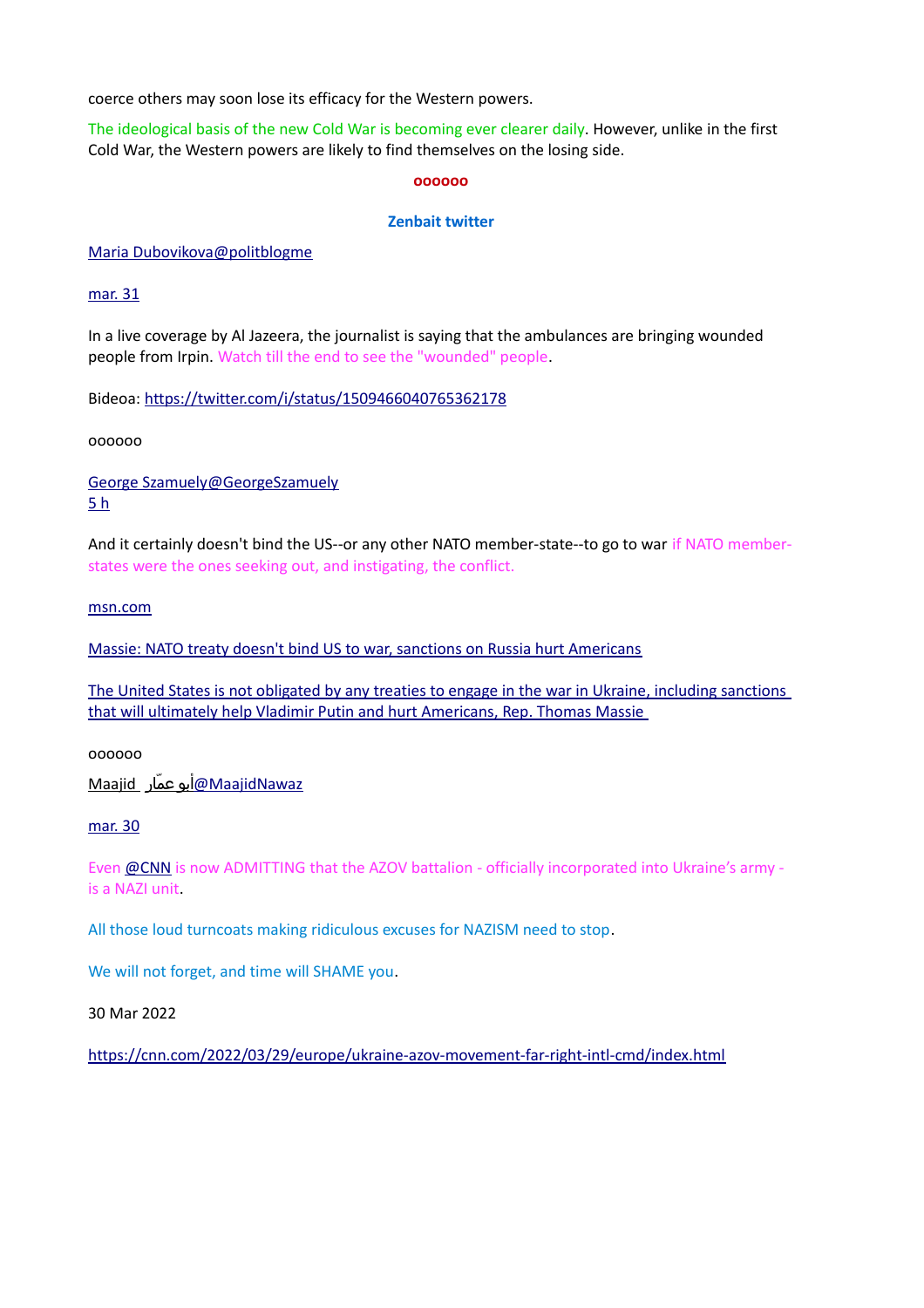coerce others may soon lose its efficacy for the Western powers.

The ideological basis of the new Cold War is becoming ever clearer daily. However, unlike in the first Cold War, the Western powers are likely to find themselves on the losing side.

#### **oooooo**

### **Zenbait twitter**

 [Maria Dubovikova@politblogme](https://twitter.com/politblogme)

[mar. 31](https://twitter.com/politblogme/status/1509466040765362178)

In a live coverage by Al Jazeera, the journalist is saying that the ambulances are bringing wounded people from Irpin. Watch till the end to see the "wounded" people.

Bideoa:<https://twitter.com/i/status/1509466040765362178>

oooooo

 [George Szamuely@GeorgeSzamuely](https://twitter.com/GeorgeSzamuely) [5 h](https://twitter.com/GeorgeSzamuely/status/1509841960151961603)

And it certainly doesn't bind the US--or any other NATO member-state--to go to war if NATO memberstates were the ones seeking out, and instigating, the conflict.

[msn.com](https://t.co/kVOepVe0j3)

[Massie: NATO treaty doesn't bind US to war, sanctions on Russia hurt Americans](https://t.co/kVOepVe0j3)

[The United States is not obligated by any treaties to engage in the war in Ukraine, including sanctions](https://t.co/kVOepVe0j3)  [that will ultimately help Vladimir Putin and hurt Americans, Rep. Thomas Massie](https://t.co/kVOepVe0j3) 

oooooo

[MaajidNawaz@](https://twitter.com/MaajidNawaz)[أبو عماار](https://twitter.com/MaajidNawaz)Maajid

[mar. 30](https://twitter.com/MaajidNawaz/status/1509235232880435207)

Even [@CNN](https://twitter.com/CNN) is now ADMITTING that the AZOV battalion - officially incorporated into Ukraine's army is a NAZI unit.

All those loud turncoats making ridiculous excuses for NAZISM need to stop.

We will not forget, and time will SHAME you.

30 Mar 2022

[https://cnn.com/2022/03/29/europe/ukraine-azov-movement-far-right-intl-cmd/index.html](https://t.co/PLLSBnaPid)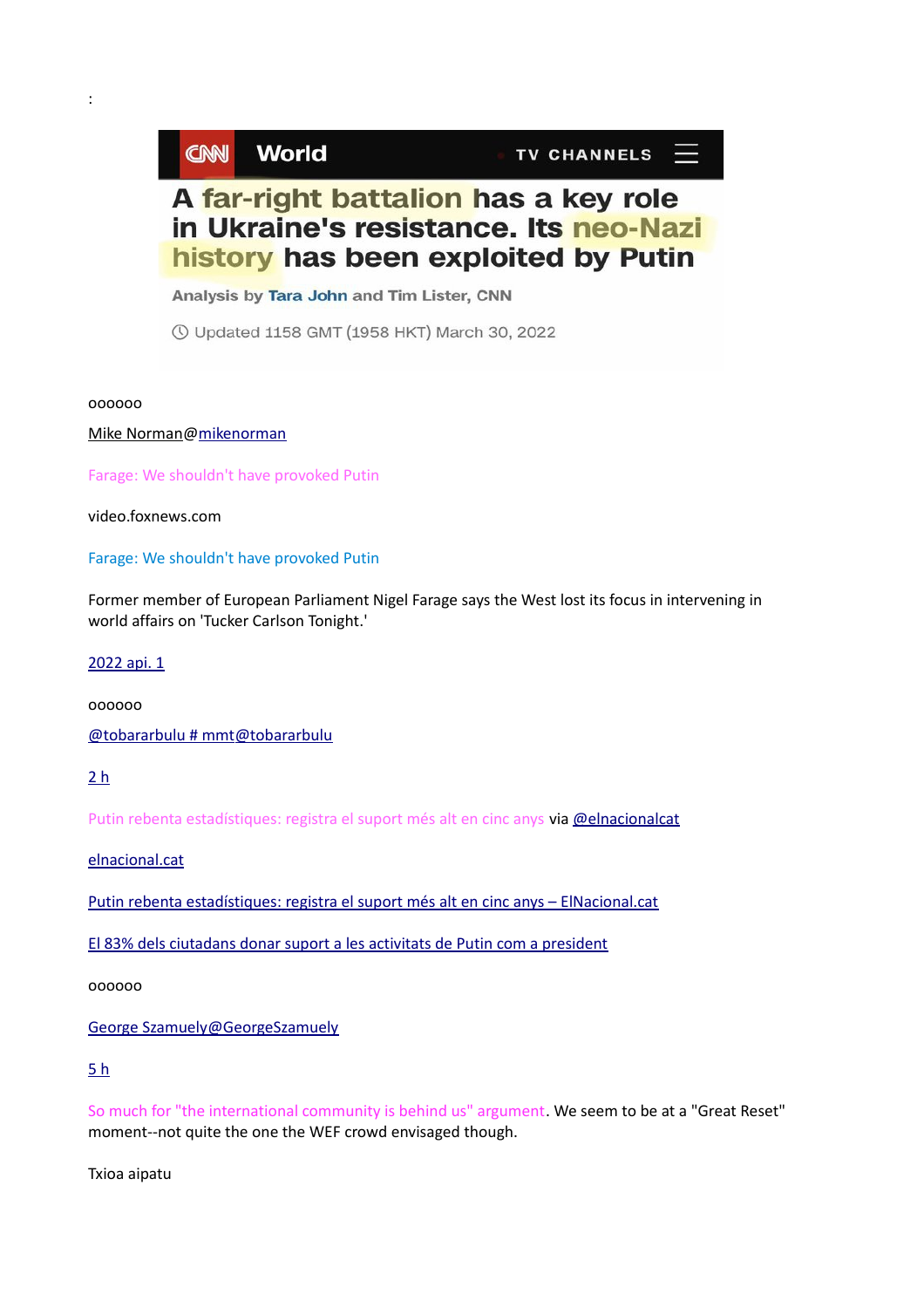# **CNN World**

TV CHANNELS  $\equiv$ 

# A far-right battalion has a key role in Ukraine's resistance. Its neo-Nazi history has been exploited by Putin

Analysis by Tara John and Tim Lister, CNN

**① Updated 1158 GMT (1958 HKT) March 30, 2022** 

oooooo

:

[Mike Norman@mikenorman](https://twitter.com/mikenorman)

Farage: We shouldn't have provoked Putin

video.foxnews.com

### Farage: We shouldn't have provoked Putin

Former member of European Parliament Nigel Farage says the West lost its focus in intervening in world affairs on 'Tucker Carlson Tonight.'

### [2022 api. 1](https://twitter.com/mikenorman/status/1509845305960894468)

oooooo

 [@tobararbulu # mmt@tobararbulu](https://twitter.com/tobararbulu)

[2 h](https://twitter.com/tobararbulu/status/1509927234299125771)

Putin rebenta estadístiques: registra el suport més alt en cinc anys via [@elnacionalcat](https://twitter.com/elnacionalcat)

[elnacional.cat](https://t.co/Qr9ERNXDWG)

[Putin rebenta estadístiques: registra el suport més alt en cinc anys – ElNacional.cat](https://t.co/Qr9ERNXDWG)

[El 83% dels ciutadans donar suport a les activitats de Putin com a president](https://t.co/Qr9ERNXDWG)

oooooo

 [George Szamuely@GeorgeSzamuely](https://twitter.com/GeorgeSzamuely)

# [5 h](https://twitter.com/GeorgeSzamuely/status/1510226124047065095)

So much for "the international community is behind us" argument. We seem to be at a "Great Reset" moment--not quite the one the WEF crowd envisaged though.

Txioa aipatu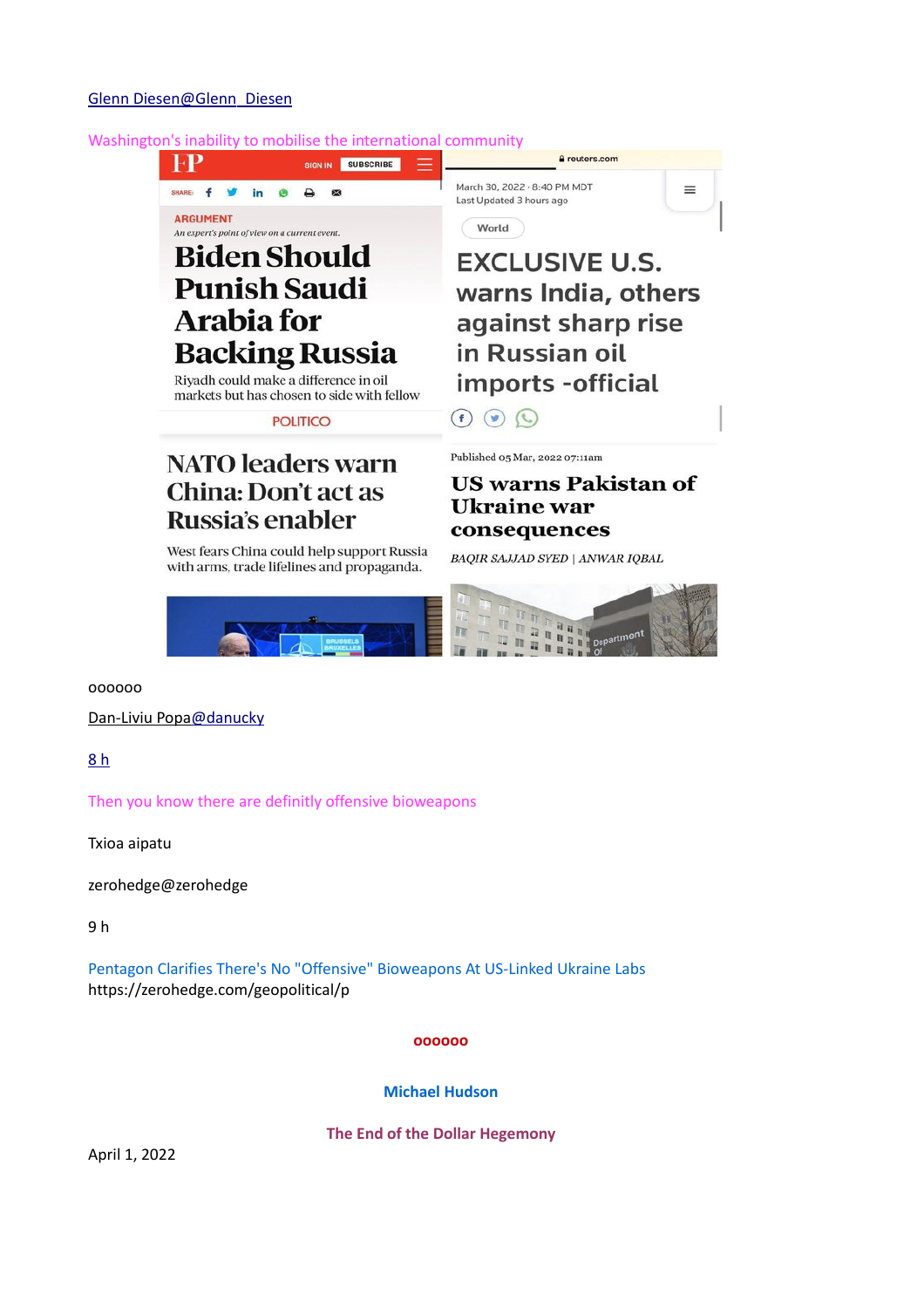### Washington's inability to mobilise the international community



West fears China could help support Russia with arms, trade lifelines and propaganda.

# **Ukraine** war consequences

**BAQIR SAJJAD SYED | ANWAR IQBAL** 



oooooo

 [Dan-Liviu Popa@danucky](https://twitter.com/danucky)

[8 h](https://twitter.com/danucky/status/1510376566433460224)

Then you know there are definitly offensive bioweapons

Txioa aipatu

zerohedge@zerohedge

9 h

Pentagon Clarifies There's No "Offensive" Bioweapons At US-Linked Ukraine Labs https://zerohedge.com/geopolitical/p

**oooooo**

**Michael Hudson**

**The End of the Dollar Hegemony**

April 1, 2022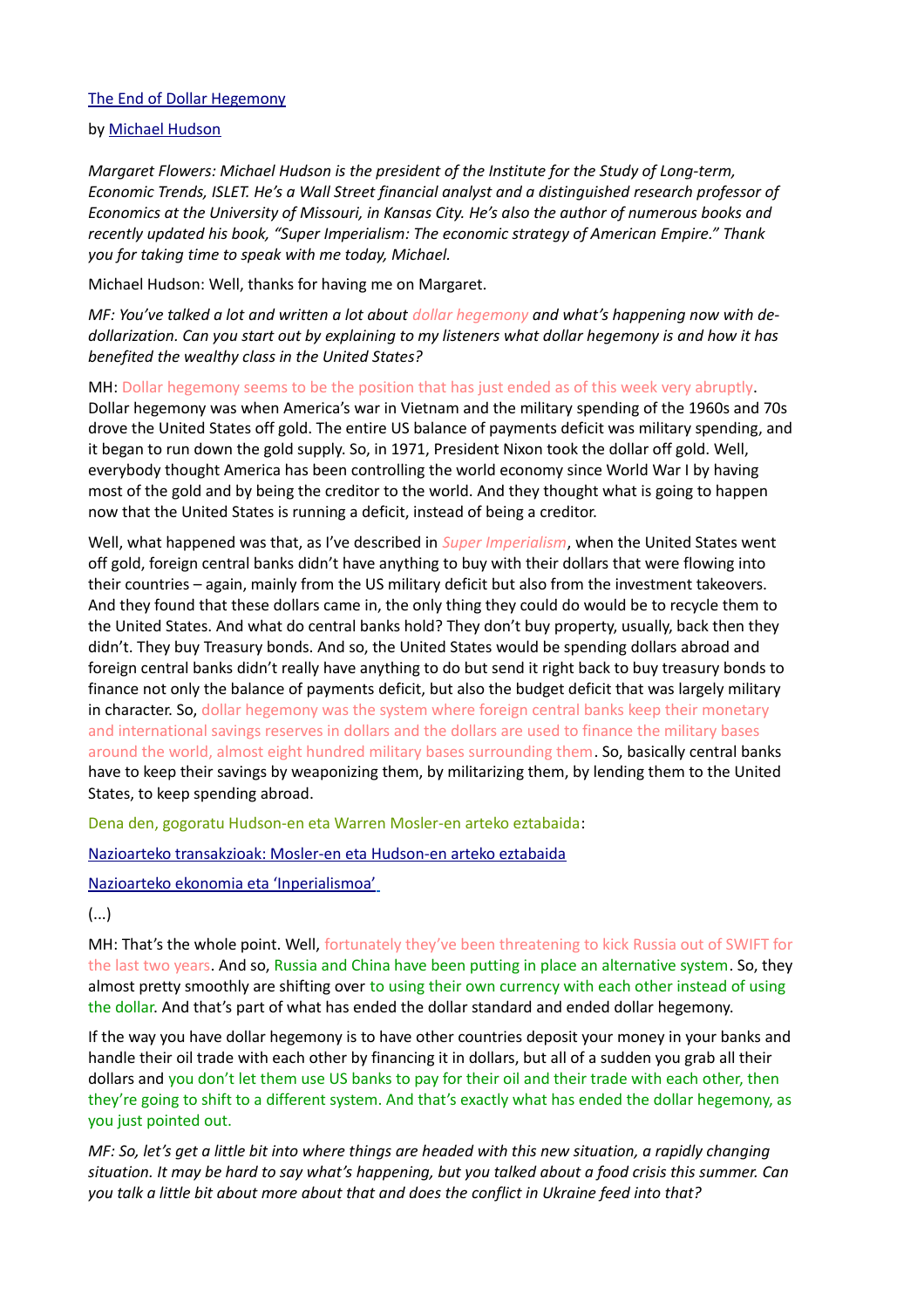# [The End of Dollar Hegemony](https://www.counterpunch.org/2022/04/01/the-end-of-dollar-hegemony/)

# by [Michael Hudson](https://www.counterpunch.org/author/jedub4u/)

*Margaret Flowers: Michael Hudson is the president of the Institute for the Study of Long-term, Economic Trends, ISLET. He's a Wall Street financial analyst and a distinguished research professor of Economics at the University of Missouri, in Kansas City. He's also the author of numerous books and recently updated his book, "Super Imperialism: The economic strategy of American Empire." Thank you for taking time to speak with me today, Michael.*

Michael Hudson: Well, thanks for having me on Margaret.

*MF: You've talked a lot and written a lot about dollar hegemony and what's happening now with dedollarization. Can you start out by explaining to my listeners what dollar hegemony is and how it has benefited the wealthy class in the United States?*

MH: Dollar hegemony seems to be the position that has just ended as of this week very abruptly. Dollar hegemony was when America's war in Vietnam and the military spending of the 1960s and 70s drove the United States off gold. The entire US balance of payments deficit was military spending, and it began to run down the gold supply. So, in 1971, President Nixon took the dollar off gold. Well, everybody thought America has been controlling the world economy since World War I by having most of the gold and by being the creditor to the world. And they thought what is going to happen now that the United States is running a deficit, instead of being a creditor.

Well, what happened was that, as I've described in *Super Imperialism*, when the United States went off gold, foreign central banks didn't have anything to buy with their dollars that were flowing into their countries – again, mainly from the US military deficit but also from the investment takeovers. And they found that these dollars came in, the only thing they could do would be to recycle them to the United States. And what do central banks hold? They don't buy property, usually, back then they didn't. They buy Treasury bonds. And so, the United States would be spending dollars abroad and foreign central banks didn't really have anything to do but send it right back to buy treasury bonds to finance not only the balance of payments deficit, but also the budget deficit that was largely military in character. So, dollar hegemony was the system where foreign central banks keep their monetary and international savings reserves in dollars and the dollars are used to finance the military bases around the world, almost eight hundred military bases surrounding them. So, basically central banks have to keep their savings by weaponizing them, by militarizing them, by lending them to the United States, to keep spending abroad.

Dena den, gogoratu Hudson-en eta Warren Mosler-en arteko eztabaida:

[Nazioarteko transakzioak: Mosler-en eta Hudson-en arteko eztabaida](https://www.unibertsitatea.net/blogak/heterodoxia/2018/08/09/nazioarteko-transakzioak-mosler-en-eta-hudson-en-arteko-eztabaida/) 

 [Nazioarteko ekonomia eta 'Inperialismoa'](https://www.unibertsitatea.net/otarrea/gizarte-zientziak/ekonomia/nazioarteko-ekonomia-eta-ainperialismoaa)

(...)

MH: That's the whole point. Well, fortunately they've been threatening to kick Russia out of SWIFT for the last two years. And so, Russia and China have been putting in place an alternative system. So, they almost pretty smoothly are shifting over to using their own currency with each other instead of using the dollar. And that's part of what has ended the dollar standard and ended dollar hegemony.

If the way you have dollar hegemony is to have other countries deposit your money in your banks and handle their oil trade with each other by financing it in dollars, but all of a sudden you grab all their dollars and you don't let them use US banks to pay for their oil and their trade with each other, then they're going to shift to a different system. And that's exactly what has ended the dollar hegemony, as you just pointed out.

*MF: So, let's get a little bit into where things are headed with this new situation, a rapidly changing situation. It may be hard to say what's happening, but you talked about a food crisis this summer. Can you talk a little bit about more about that and does the conflict in Ukraine feed into that?*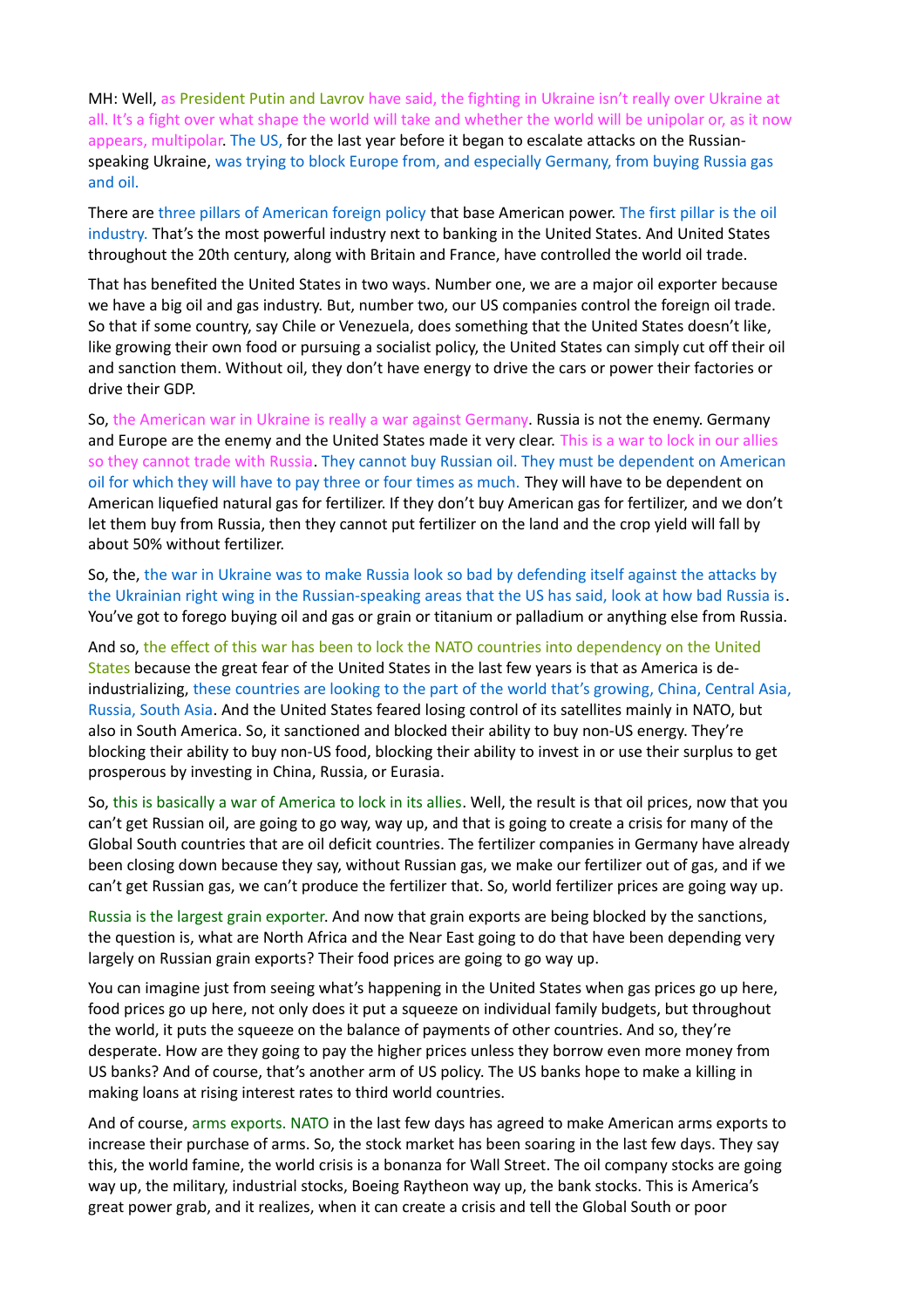MH: Well, as President Putin and Lavrov have said, the fighting in Ukraine isn't really over Ukraine at all. It's a fight over what shape the world will take and whether the world will be unipolar or, as it now appears, multipolar. The US, for the last year before it began to escalate attacks on the Russianspeaking Ukraine, was trying to block Europe from, and especially Germany, from buying Russia gas and oil.

There are three pillars of American foreign policy that base American power. The first pillar is the oil industry. That's the most powerful industry next to banking in the United States. And United States throughout the 20th century, along with Britain and France, have controlled the world oil trade.

That has benefited the United States in two ways. Number one, we are a major oil exporter because we have a big oil and gas industry. But, number two, our US companies control the foreign oil trade. So that if some country, say Chile or Venezuela, does something that the United States doesn't like, like growing their own food or pursuing a socialist policy, the United States can simply cut off their oil and sanction them. Without oil, they don't have energy to drive the cars or power their factories or drive their GDP.

So, the American war in Ukraine is really a war against Germany. Russia is not the enemy. Germany and Europe are the enemy and the United States made it very clear. This is a war to lock in our allies so they cannot trade with Russia. They cannot buy Russian oil. They must be dependent on American oil for which they will have to pay three or four times as much. They will have to be dependent on American liquefied natural gas for fertilizer. If they don't buy American gas for fertilizer, and we don't let them buy from Russia, then they cannot put fertilizer on the land and the crop yield will fall by about 50% without fertilizer.

So, the, the war in Ukraine was to make Russia look so bad by defending itself against the attacks by the Ukrainian right wing in the Russian-speaking areas that the US has said, look at how bad Russia is. You've got to forego buying oil and gas or grain or titanium or palladium or anything else from Russia.

And so, the effect of this war has been to lock the NATO countries into dependency on the United States because the great fear of the United States in the last few years is that as America is deindustrializing, these countries are looking to the part of the world that's growing, China, Central Asia, Russia, South Asia. And the United States feared losing control of its satellites mainly in NATO, but also in South America. So, it sanctioned and blocked their ability to buy non-US energy. They're blocking their ability to buy non-US food, blocking their ability to invest in or use their surplus to get prosperous by investing in China, Russia, or Eurasia.

So, this is basically a war of America to lock in its allies. Well, the result is that oil prices, now that you can't get Russian oil, are going to go way, way up, and that is going to create a crisis for many of the Global South countries that are oil deficit countries. The fertilizer companies in Germany have already been closing down because they say, without Russian gas, we make our fertilizer out of gas, and if we can't get Russian gas, we can't produce the fertilizer that. So, world fertilizer prices are going way up.

Russia is the largest grain exporter. And now that grain exports are being blocked by the sanctions, the question is, what are North Africa and the Near East going to do that have been depending very largely on Russian grain exports? Their food prices are going to go way up.

You can imagine just from seeing what's happening in the United States when gas prices go up here, food prices go up here, not only does it put a squeeze on individual family budgets, but throughout the world, it puts the squeeze on the balance of payments of other countries. And so, they're desperate. How are they going to pay the higher prices unless they borrow even more money from US banks? And of course, that's another arm of US policy. The US banks hope to make a killing in making loans at rising interest rates to third world countries.

And of course, arms exports. NATO in the last few days has agreed to make American arms exports to increase their purchase of arms. So, the stock market has been soaring in the last few days. They say this, the world famine, the world crisis is a bonanza for Wall Street. The oil company stocks are going way up, the military, industrial stocks, Boeing Raytheon way up, the bank stocks. This is America's great power grab, and it realizes, when it can create a crisis and tell the Global South or poor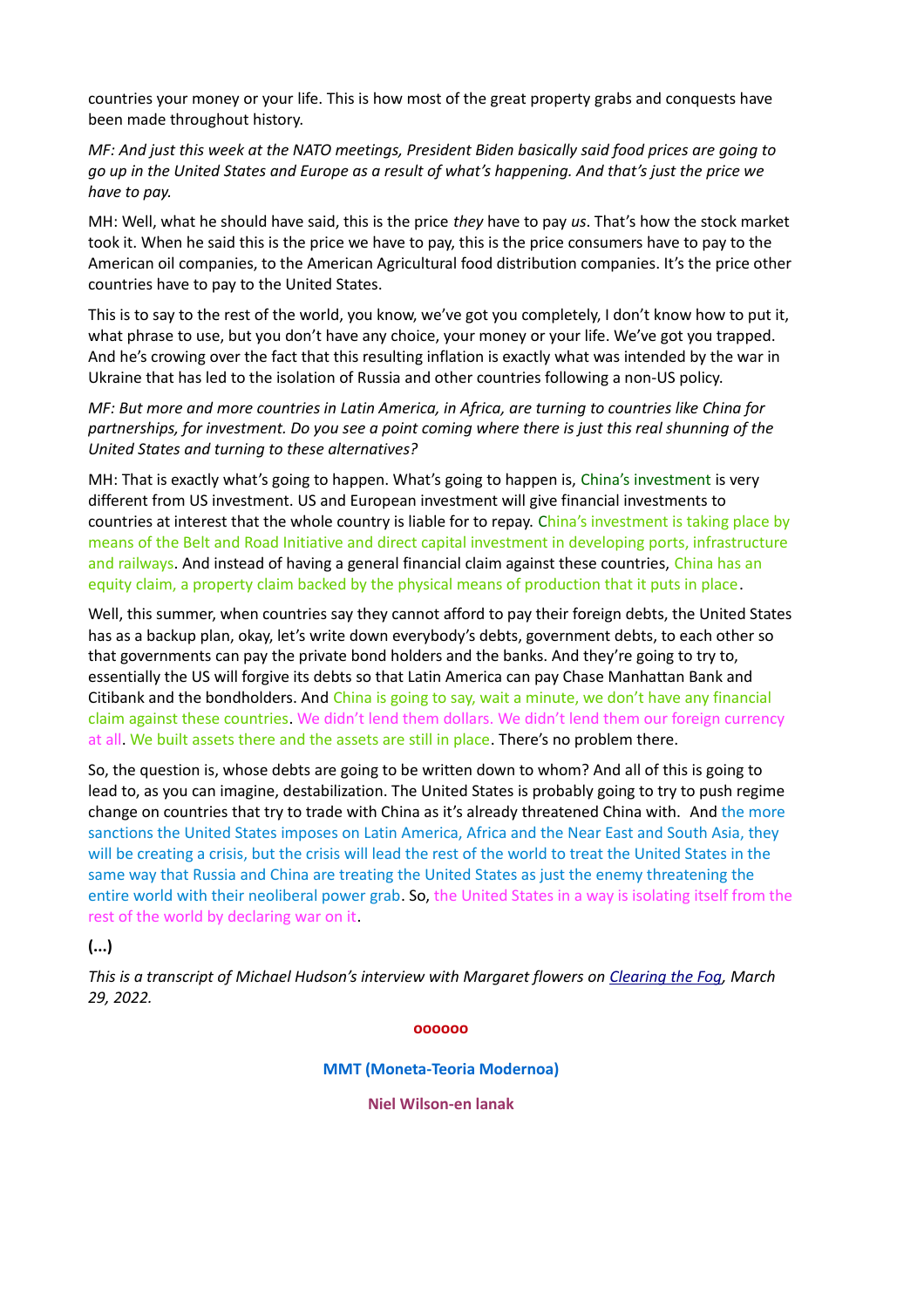countries your money or your life. This is how most of the great property grabs and conquests have been made throughout history.

*MF: And just this week at the NATO meetings, President Biden basically said food prices are going to go up in the United States and Europe as a result of what's happening. And that's just the price we have to pay.*

MH: Well, what he should have said, this is the price *they* have to pay *us*. That's how the stock market took it. When he said this is the price we have to pay, this is the price consumers have to pay to the American oil companies, to the American Agricultural food distribution companies. It's the price other countries have to pay to the United States.

This is to say to the rest of the world, you know, we've got you completely, I don't know how to put it, what phrase to use, but you don't have any choice, your money or your life. We've got you trapped. And he's crowing over the fact that this resulting inflation is exactly what was intended by the war in Ukraine that has led to the isolation of Russia and other countries following a non-US policy.

*MF: But more and more countries in Latin America, in Africa, are turning to countries like China for partnerships, for investment. Do you see a point coming where there is just this real shunning of the United States and turning to these alternatives?*

MH: That is exactly what's going to happen. What's going to happen is, China's investment is very different from US investment. US and European investment will give financial investments to countries at interest that the whole country is liable for to repay. China's investment is taking place by means of the Belt and Road Initiative and direct capital investment in developing ports, infrastructure and railways. And instead of having a general financial claim against these countries, China has an equity claim, a property claim backed by the physical means of production that it puts in place.

Well, this summer, when countries say they cannot afford to pay their foreign debts, the United States has as a backup plan, okay, let's write down everybody's debts, government debts, to each other so that governments can pay the private bond holders and the banks. And they're going to try to, essentially the US will forgive its debts so that Latin America can pay Chase Manhattan Bank and Citibank and the bondholders. And China is going to say, wait a minute, we don't have any financial claim against these countries. We didn't lend them dollars. We didn't lend them our foreign currency at all. We built assets there and the assets are still in place. There's no problem there.

So, the question is, whose debts are going to be written down to whom? And all of this is going to lead to, as you can imagine, destabilization. The United States is probably going to try to push regime change on countries that try to trade with China as it's already threatened China with. And the more sanctions the United States imposes on Latin America, Africa and the Near East and South Asia, they will be creating a crisis, but the crisis will lead the rest of the world to treat the United States in the same way that Russia and China are treating the United States as just the enemy threatening the entire world with their neoliberal power grab. So, the United States in a way is isolating itself from the rest of the world by declaring war on it.

# **(...)**

*This is a transcript of Michael Hudson's interview with Margaret flowers on [Clearing the Fog,](https://popularresistance.org/michael-hudson-us-dollar-hegemony-ended-abruptly-last-wednesday/) March 29, 2022.*

#### **oooooo**

**MMT (Moneta-Teoria Modernoa)**

**Niel Wilson-en lanak**